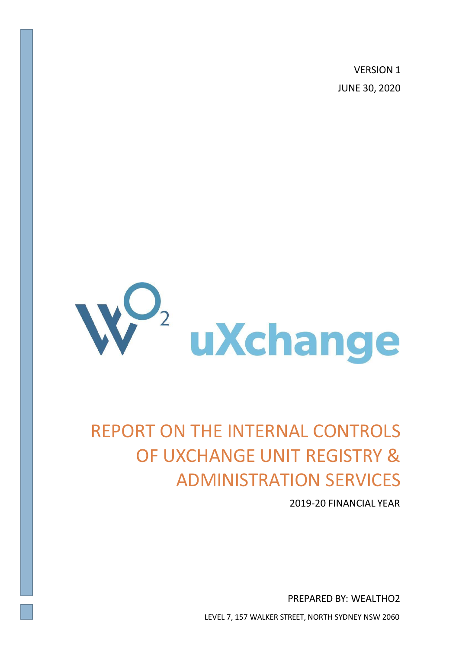VERSION 1 JUNE 30, 2020



# REPORT ON THE INTERNAL CONTROLS OF UXCHANGE UNIT REGISTRY & ADMINISTRATION SERVICES

2019-20 FINANCIAL YEAR

PREPARED BY: WEALTHO2

LEVEL 7, 157 WALKER STREET, NORTH SYDNEY NSW 2060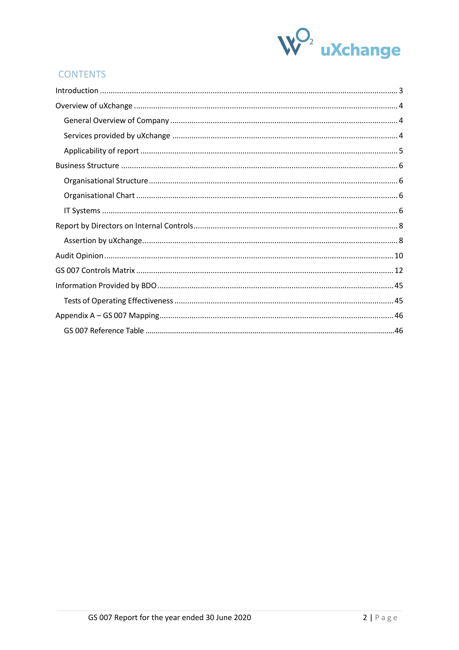

# **CONTENTS**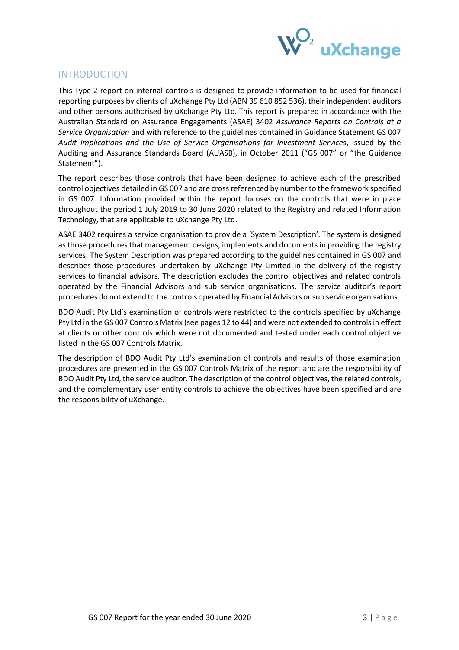

## <span id="page-2-0"></span>INTRODUCTION

This Type 2 report on internal controls is designed to provide information to be used for financial reporting purposes by clients of uXchange Pty Ltd (ABN 39 610 852 536), their independent auditors and other persons authorised by uXchange Pty Ltd. This report is prepared in accordance with the Australian Standard on Assurance Engagements (ASAE) 3402 *Assurance Reports on Controls at a Service Organisation* and with reference to the guidelines contained in Guidance Statement GS 007 *Audit Implications and the Use of Service Organisations for Investment Services*, issued by the Auditing and Assurance Standards Board (AUASB), in October 2011 ("GS 007" or "the Guidance Statement").

The report describes those controls that have been designed to achieve each of the prescribed control objectives detailed in GS 007 and are crossreferenced by number to the framework specified in GS 007. Information provided within the report focuses on the controls that were in place throughout the period 1 July 2019 to 30 June 2020 related to the Registry and related Information Technology, that are applicable to uXchange Pty Ltd.

ASAE 3402 requires a service organisation to provide a 'System Description'. The system is designed as those procedures that management designs, implements and documents in providing the registry services. The System Description was prepared according to the guidelines contained in GS 007 and describes those procedures undertaken by uXchange Pty Limited in the delivery of the registry services to financial advisors. The description excludes the control objectives and related controls operated by the Financial Advisors and sub service organisations. The service auditor's report procedures do not extend to the controls operated by Financial Advisors orsub service organisations.

BDO Audit Pty Ltd's examination of controls were restricted to the controls specified by uXchange Pty Ltd in the GS 007 Controls Matrix (see pages 12 to 44) and were not extended to controlsin effect at clients or other controls which were not documented and tested under each control objective listed in the GS 007 Controls Matrix.

The description of BDO Audit Pty Ltd's examination of controls and results of those examination procedures are presented in the GS 007 Controls Matrix of the report and are the responsibility of BDO Audit Pty Ltd, the service auditor. The description of the control objectives, the related controls, and the complementary user entity controls to achieve the objectives have been specified and are the responsibility of uXchange.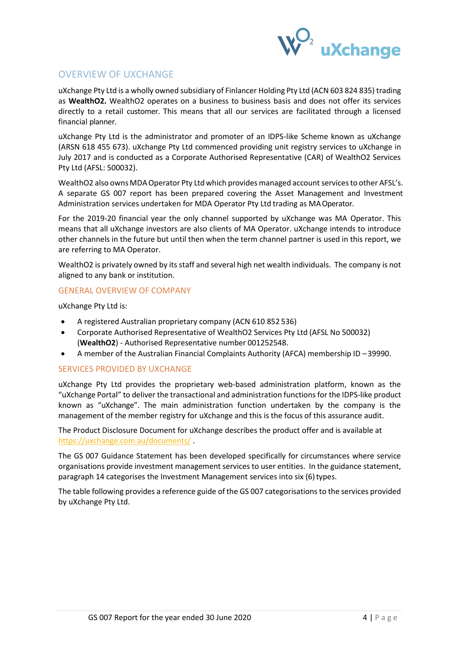

# <span id="page-3-0"></span>OVERVIEW OF UXCHANGE

uXchange Pty Ltd is a wholly owned subsidiary of Finlancer Holding Pty Ltd (ACN 603 824 835) trading as **WealthO2.** WealthO2 operates on a business to business basis and does not offer its services directly to a retail customer. This means that all our services are facilitated through a licensed financial planner.

uXchange Pty Ltd is the administrator and promoter of an IDPS-like Scheme known as uXchange (ARSN 618 455 673). uXchange Pty Ltd commenced providing unit registry services to uXchange in July 2017 and is conducted as a Corporate Authorised Representative (CAR) of WealthO2 Services Pty Ltd (AFSL: 500032).

WealthO2 also owns MDA Operator Pty Ltd which provides managed account services to other AFSL's. A separate GS 007 report has been prepared covering the Asset Management and Investment Administration services undertaken for MDA Operator Pty Ltd trading as MAOperator.

For the 2019-20 financial year the only channel supported by uXchange was MA Operator. This means that all uXchange investors are also clients of MA Operator. uXchange intends to introduce other channels in the future but until then when the term channel partner is used in this report, we are referring to MA Operator.

WealthO2 is privately owned by its staff and several high net wealth individuals. The company is not aligned to any bank or institution.

## <span id="page-3-1"></span>GENERAL OVERVIEW OF COMPANY

uXchange Pty Ltd is:

- A registered Australian proprietary company (ACN 610 852 536)
- Corporate Authorised Representative of WealthO2 Services Pty Ltd (AFSL No 500032) (**WealthO2**) - Authorised Representative number 001252548.
- A member of the Australian Financial Complaints Authority (AFCA) membership ID –39990.

## <span id="page-3-2"></span>SERVICES PROVIDED BY UXCHANGE

uXchange Pty Ltd provides the proprietary web-based administration platform, known as the "uXchange Portal" to deliver the transactional and administration functionsfor the IDPS-like product known as "uXchange". The main administration function undertaken by the company is the management of the member registry for uXchange and this is the focus of this assurance audit.

The Product Disclosure Document for uXchange describes the product offer and is available at <https://uxchange.com.au/documents/> .

The GS 007 Guidance Statement has been developed specifically for circumstances where service organisations provide investment management services to user entities. In the guidance statement, paragraph 14 categorises the Investment Management services into six (6) types.

The table following provides a reference guide of the GS 007 categorisationsto the services provided by uXchange Pty Ltd.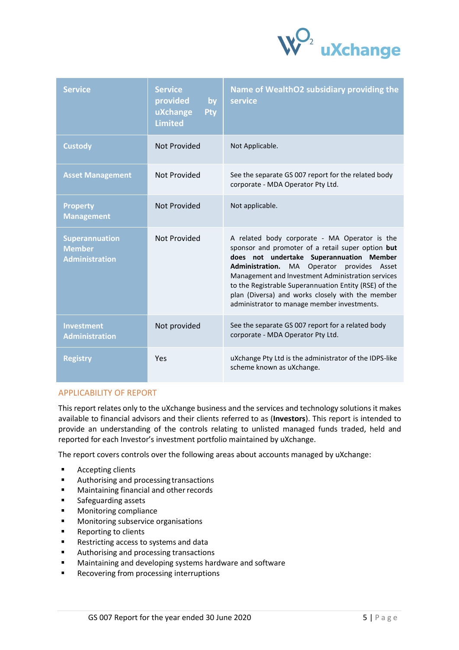

| <b>Service</b>                                                  | <b>Service</b><br>provided<br>by<br>uXchange<br><b>Pty</b><br><b>Limited</b> | Name of WealthO2 subsidiary providing the<br>service                                                                                                                                                                                                                                                                                                                                                          |
|-----------------------------------------------------------------|------------------------------------------------------------------------------|---------------------------------------------------------------------------------------------------------------------------------------------------------------------------------------------------------------------------------------------------------------------------------------------------------------------------------------------------------------------------------------------------------------|
| <b>Custody</b>                                                  | <b>Not Provided</b>                                                          | Not Applicable.                                                                                                                                                                                                                                                                                                                                                                                               |
| <b>Asset Management</b>                                         | Not Provided                                                                 | See the separate GS 007 report for the related body<br>corporate - MDA Operator Pty Ltd.                                                                                                                                                                                                                                                                                                                      |
| <b>Property</b><br><b>Management</b>                            | Not Provided                                                                 | Not applicable.                                                                                                                                                                                                                                                                                                                                                                                               |
| <b>Superannuation</b><br><b>Member</b><br><b>Administration</b> | Not Provided                                                                 | A related body corporate - MA Operator is the<br>sponsor and promoter of a retail super option but<br>does not undertake Superannuation Member<br>Administration. MA Operator provides Asset<br>Management and Investment Administration services<br>to the Registrable Superannuation Entity (RSE) of the<br>plan (Diversa) and works closely with the member<br>administrator to manage member investments. |
| <b>Investment</b><br><b>Administration</b>                      | Not provided                                                                 | See the separate GS 007 report for a related body<br>corporate - MDA Operator Pty Ltd.                                                                                                                                                                                                                                                                                                                        |
| <b>Registry</b>                                                 | Yes                                                                          | uXchange Pty Ltd is the administrator of the IDPS-like<br>scheme known as uXchange.                                                                                                                                                                                                                                                                                                                           |

## <span id="page-4-0"></span>APPLICABILITY OF REPORT

This report relates only to the uXchange business and the services and technology solutions it makes available to financial advisors and their clients referred to as (**Investors**). This report is intended to provide an understanding of the controls relating to unlisted managed funds traded, held and reported for each Investor's investment portfolio maintained by uXchange.

The report covers controls over the following areas about accounts managed by uXchange:

- Accepting clients
- Authorising and processing transactions
- Maintaining financial and other records
- Safeguarding assets
- Monitoring compliance
- Monitoring subservice organisations
- Reporting to clients
- Restricting access to systems and data
- Authorising and processing transactions
- Maintaining and developing systems hardware and software
- Recovering from processing interruptions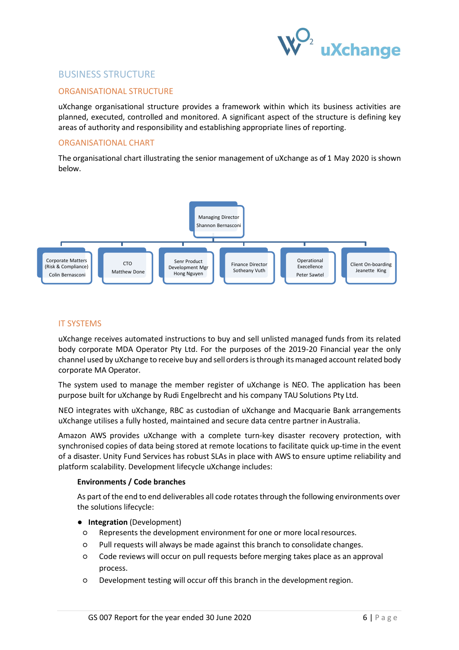

## <span id="page-5-0"></span>BUSINESS STRUCTURE

## <span id="page-5-1"></span>ORGANISATIONAL STRUCTURE

uXchange organisational structure provides a framework within which its business activities are planned, executed, controlled and monitored. A significant aspect of the structure is defining key areas of authority and responsibility and establishing appropriate lines of reporting.

## <span id="page-5-2"></span>ORGANISATIONAL CHART

The organisational chart illustrating the senior management of uXchange as of 1 May 2020 is shown below.



## <span id="page-5-3"></span>IT SYSTEMS

uXchange receives automated instructions to buy and sell unlisted managed funds from its related body corporate MDA Operator Pty Ltd. For the purposes of the 2019-20 Financial year the only channel used by uXchange to receive buy and sell ordersisthrough itsmanaged account related body corporate MA Operator.

The system used to manage the member register of uXchange is NEO. The application has been purpose built for uXchange by Rudi Engelbrecht and his company TAU Solutions Pty Ltd.

NEO integrates with uXchange, RBC as custodian of uXchange and Macquarie Bank arrangements uXchange utilises a fully hosted, maintained and secure data centre partner inAustralia.

Amazon AWS provides uXchange with a complete turn-key disaster recovery protection, with synchronised copies of data being stored at remote locations to facilitate quick up-time in the event of a disaster. Unity Fund Services has robust SLAs in place with AWS to ensure uptime reliability and platform scalability. Development lifecycle uXchange includes:

## **Environments / Code branches**

As part of the end to end deliverables all code rotates through the following environments over the solutions lifecycle:

- **Integration** (Development)
- Represents the development environment for one or more localresources.
- Pull requests will always be made against this branch to consolidate changes.
- Code reviews will occur on pull requests before merging takes place as an approval process.
- Development testing will occur off this branch in the developmentregion.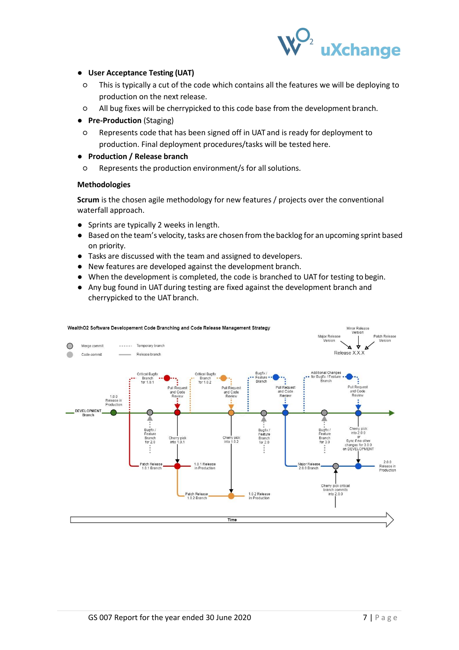

## ● **User Acceptance Testing (UAT)**

- This is typically a cut of the code which contains all the features we will be deploying to production on the next release.
- All bug fixes will be cherrypicked to this code base from the development branch.

## ● **Pre-Production** (Staging)

○ Represents code that has been signed off in UAT and is ready for deployment to production. Final deployment procedures/tasks will be tested here.

## ● **Production / Release branch**

○ Represents the production environment/s for allsolutions.

## **Methodologies**

**Scrum** is the chosen agile methodology for new features / projects over the conventional waterfall approach.

- Sprints are typically 2 weeks in length.
- Based on the team's velocity, tasks are chosen from the backlog for an upcoming sprint based on priority.
- Tasks are discussed with the team and assigned to developers.
- New features are developed against the development branch.
- When the development is completed, the code is branched to UAT for testing to begin.
- Any bug found in UAT during testing are fixed against the development branch and cherrypicked to the UAT branch.

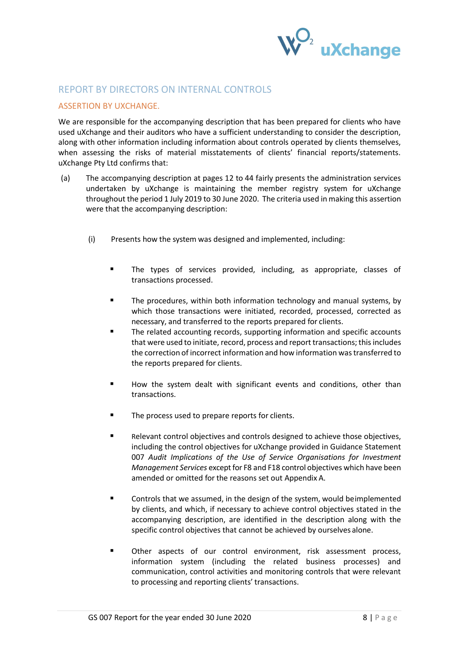

## <span id="page-7-0"></span>REPORT BY DIRECTORS ON INTERNAL CONTROLS

## <span id="page-7-1"></span>ASSERTION BY UXCHANGE.

We are responsible for the accompanying description that has been prepared for clients who have used uXchange and their auditors who have a sufficient understanding to consider the description, along with other information including information about controls operated by clients themselves, when assessing the risks of material misstatements of clients' financial reports/statements. uXchange Pty Ltd confirms that:

- (a) The accompanying description at pages 12 to 44 fairly presents the administration services undertaken by uXchange is maintaining the member registry system for uXchange throughout the period 1 July 2019 to 30 June 2020. The criteria used in making this assertion were that the accompanying description:
	- (i) Presents how the system was designed and implemented, including:
		- The types of services provided, including, as appropriate, classes of transactions processed.
		- The procedures, within both information technology and manual systems, by which those transactions were initiated, recorded, processed, corrected as necessary, and transferred to the reports prepared for clients.
		- The related accounting records, supporting information and specific accounts that were used to initiate, record, process and report transactions; thisincludes the correction of incorrect information and how information wastransferred to the reports prepared for clients.
		- How the system dealt with significant events and conditions, other than transactions.
		- The process used to prepare reports for clients.
		- Relevant control objectives and controls designed to achieve those objectives, including the control objectives for uXchange provided in Guidance Statement 007 *Audit Implications of the Use of Service Organisations for Investment Management Services* except for F8 and F18 control objectives which have been amended or omitted for the reasons set out Appendix A.
		- Controls that we assumed, in the design of the system, would beimplemented by clients, and which, if necessary to achieve control objectives stated in the accompanying description, are identified in the description along with the specific control objectives that cannot be achieved by ourselves alone.
		- Other aspects of our control environment, risk assessment process, information system (including the related business processes) and communication, control activities and monitoring controls that were relevant to processing and reporting clients' transactions.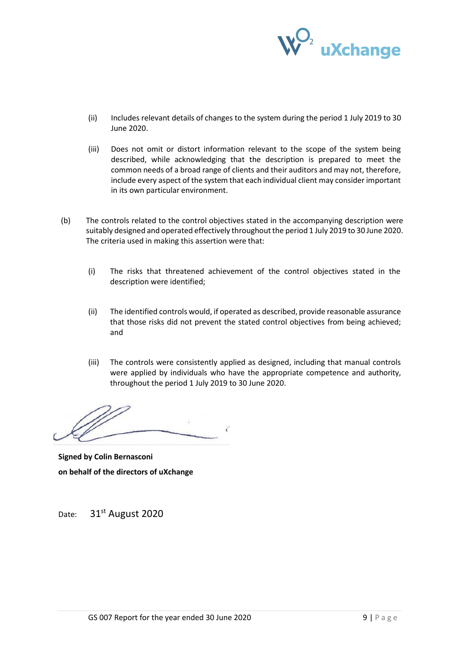

- (ii) Includes relevant details of changes to the system during the period 1 July 2019 to 30 June 2020.
- (iii) Does not omit or distort information relevant to the scope of the system being described, while acknowledging that the description is prepared to meet the common needs of a broad range of clients and their auditors and may not, therefore, include every aspect of the system that each individual client may consider important in its own particular environment.
- (b) The controls related to the control objectives stated in the accompanying description were suitably designed and operated effectively throughout the period 1 July 2019 to 30 June 2020. The criteria used in making this assertion were that:
	- (i) The risks that threatened achievement of the control objectives stated in the description were identified;
	- (ii) The identified controls would, if operated as described, provide reasonable assurance that those risks did not prevent the stated control objectives from being achieved; and
	- (iii) The controls were consistently applied as designed, including that manual controls were applied by individuals who have the appropriate competence and authority, throughout the period 1 July 2019 to 30 June 2020.

..........................................................................

**Signed by Colin Bernasconi on behalf of the directors of uXchange**

Date: 31<sup>st</sup> August 2020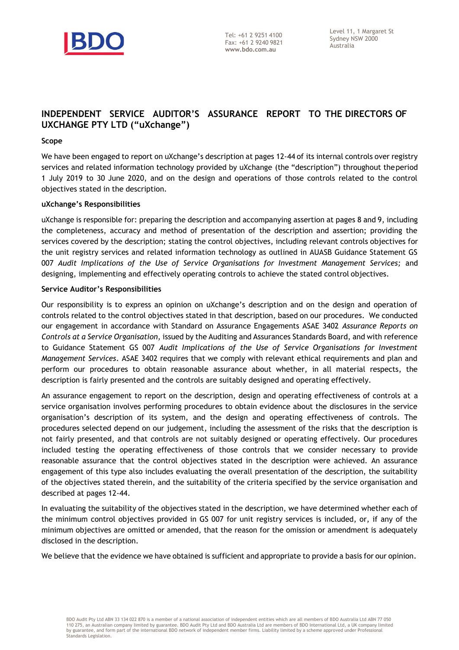

## **INDEPENDENT SERVICE AUDITOR'S ASSURANCE REPORT TO THE DIRECTORS OF UXCHANGE PTY LTD ("uXchange")**

#### **Scope**

We have been engaged to report on uXchange's description at pages 12-44 of its internal controls over registry services and related information technology provided by uXchange (the "description") throughout theperiod 1 July 2019 to 30 June 2020, and on the design and operations of those controls related to the control objectives stated in the description.

#### **uXchange's Responsibilities**

uXchange is responsible for: preparing the description and accompanying assertion at pages 8 and 9, including the completeness, accuracy and method of presentation of the description and assertion; providing the services covered by the description; stating the control objectives, including relevant controls objectives for the unit registry services and related information technology as outlined in AUASB Guidance Statement GS 007 *Audit Implications of the Use of Service Organisations for Investment Management Services;* and designing, implementing and effectively operating controls to achieve the stated control objectives.

#### **Service Auditor's Responsibilities**

Our responsibility is to express an opinion on uXchange's description and on the design and operation of controls related to the control objectives stated in that description, based on our procedures. We conducted our engagement in accordance with Standard on Assurance Engagements ASAE 3402 *Assurance Reports on Controls at a Service Organisation*, issued by the Auditing and Assurances Standards Board, and with reference to Guidance Statement GS 007 *Audit Implications of the Use of Service Organisations for Investment Management Services*. ASAE 3402 requires that we comply with relevant ethical requirements and plan and perform our procedures to obtain reasonable assurance about whether, in all material respects, the description is fairly presented and the controls are suitably designed and operating effectively.

An assurance engagement to report on the description, design and operating effectiveness of controls at a service organisation involves performing procedures to obtain evidence about the disclosures in the service organisation's description of its system, and the design and operating effectiveness of controls. The procedures selected depend on our judgement, including the assessment of the risks that the description is not fairly presented, and that controls are not suitably designed or operating effectively. Our procedures included testing the operating effectiveness of those controls that we consider necessary to provide reasonable assurance that the control objectives stated in the description were achieved. An assurance engagement of this type also includes evaluating the overall presentation of the description, the suitability of the objectives stated therein, and the suitability of the criteria specified by the service organisation and described at pages 12-44.

In evaluating the suitability of the objectives stated in the description, we have determined whether each of the minimum control objectives provided in GS 007 for unit registry services is included, or, if any of the minimum objectives are omitted or amended, that the reason for the omission or amendment is adequately disclosed in the description.

We believe that the evidence we have obtained is sufficient and appropriate to provide a basis for our opinion.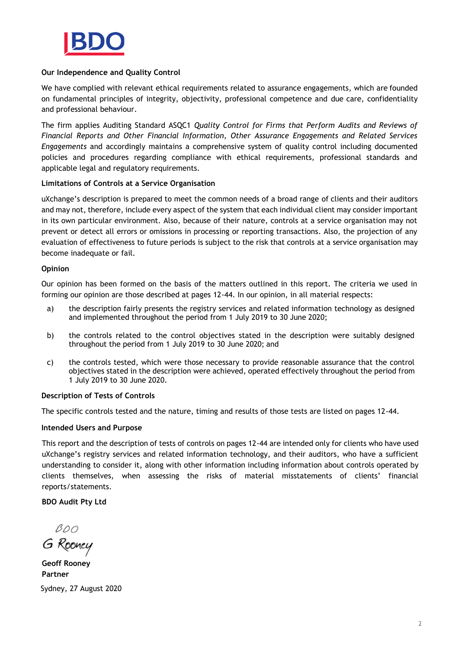

## **Our Independence and Quality Control**

We have complied with relevant ethical requirements related to assurance engagements, which are founded on fundamental principles of integrity, objectivity, professional competence and due care, confidentiality and professional behaviour.

The firm applies Auditing Standard ASQC1 *Quality Control for Firms that Perform Audits and Reviews of Financial Reports and Other Financial Information, Other Assurance Engagements and Related Services Engagements* and accordingly maintains a comprehensive system of quality control including documented policies and procedures regarding compliance with ethical requirements, professional standards and applicable legal and regulatory requirements.

## **Limitations of Controls at a Service Organisation**

uXchange's description is prepared to meet the common needs of a broad range of clients and their auditors and may not, therefore, include every aspect of the system that each individual client may consider important in its own particular environment. Also, because of their nature, controls at a service organisation may not prevent or detect all errors or omissions in processing or reporting transactions. Also, the projection of any evaluation of effectiveness to future periods is subject to the risk that controls at a service organisation may become inadequate or fail.

## **Opinion**

Our opinion has been formed on the basis of the matters outlined in this report. The criteria we used in forming our opinion are those described at pages 12-44. In our opinion, in all material respects:

- a) the description fairly presents the registry services and related information technology as designed and implemented throughout the period from 1 July 2019 to 30 June 2020;
- b) the controls related to the control objectives stated in the description were suitably designed throughout the period from 1 July 2019 to 30 June 2020; and
- c) the controls tested, which were those necessary to provide reasonable assurance that the control objectives stated in the description were achieved, operated effectively throughout the period from 1 July 2019 to 30 June 2020.

## **Description of Tests of Controls**

The specific controls tested and the nature, timing and results of those tests are listed on pages 12-44.

## **Intended Users and Purpose**

This report and the description of tests of controls on pages 12-44 are intended only for clients who have used uXchange's registry services and related information technology, and their auditors, who have a sufficient understanding to consider it, along with other information including information about controls operated by clients themselves, when assessing the risks of material misstatements of clients' financial reports/statements.

#### **BDO Audit Pty Ltd**

 $BOO$ 

G Rooney

**Geoff Rooney Partner** Sydney, 27 August 2020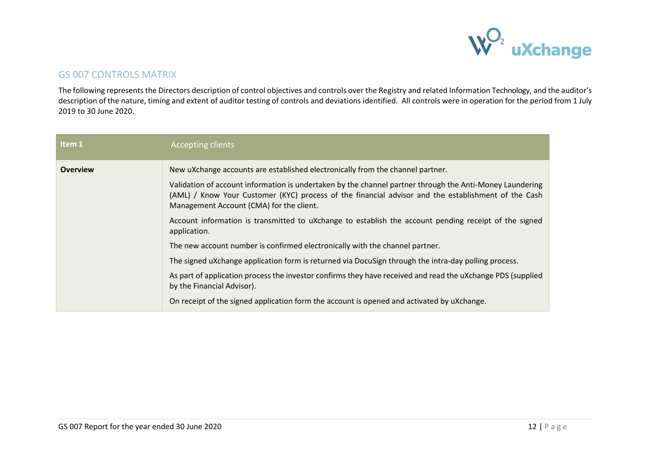

## GS 007 CONTROLS MATRIX

The following represents the Directors description of control objectives and controls over the Registry and related Information Technology, and the auditor's description of the nature, timing and extent of auditor testing of controls and deviations identified. All controls were in operation for the period from 1 July 2019 to 30 June 2020.

<span id="page-11-0"></span>

| Item 1          | <b>Accepting clients</b>                                                                                                                                                                                                                                    |
|-----------------|-------------------------------------------------------------------------------------------------------------------------------------------------------------------------------------------------------------------------------------------------------------|
| <b>Overview</b> | New uXchange accounts are established electronically from the channel partner.                                                                                                                                                                              |
|                 | Validation of account information is undertaken by the channel partner through the Anti-Money Laundering<br>(AML) / Know Your Customer (KYC) process of the financial advisor and the establishment of the Cash<br>Management Account (CMA) for the client. |
|                 | Account information is transmitted to uXchange to establish the account pending receipt of the signed<br>application.                                                                                                                                       |
|                 | The new account number is confirmed electronically with the channel partner.                                                                                                                                                                                |
|                 | The signed uXchange application form is returned via DocuSign through the intra-day polling process.                                                                                                                                                        |
|                 | As part of application process the investor confirms they have received and read the uXchange PDS (supplied<br>by the Financial Advisor).                                                                                                                   |
|                 | On receipt of the signed application form the account is opened and activated by uXchange.                                                                                                                                                                  |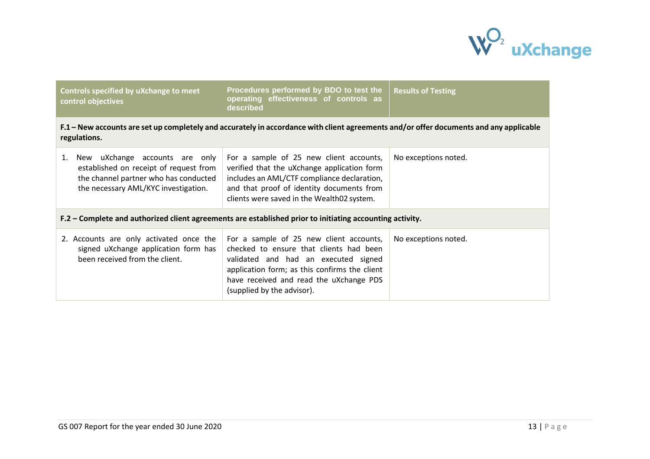

| Controls specified by uXchange to meet<br>control objectives                                                                                                    | Procedures performed by BDO to test the<br>operating effectiveness of controls as<br>described                                                                                                                                                       | <b>Results of Testing</b> |
|-----------------------------------------------------------------------------------------------------------------------------------------------------------------|------------------------------------------------------------------------------------------------------------------------------------------------------------------------------------------------------------------------------------------------------|---------------------------|
| regulations.                                                                                                                                                    | F.1 – New accounts are set up completely and accurately in accordance with client agreements and/or offer documents and any applicable                                                                                                               |                           |
| New uXchange accounts are only<br>1.<br>established on receipt of request from<br>the channel partner who has conducted<br>the necessary AML/KYC investigation. | For a sample of 25 new client accounts,<br>verified that the uXchange application form<br>includes an AML/CTF compliance declaration,<br>and that proof of identity documents from<br>clients were saved in the Wealth02 system.                     | No exceptions noted.      |
| F.2 – Complete and authorized client agreements are established prior to initiating accounting activity.                                                        |                                                                                                                                                                                                                                                      |                           |
| 2. Accounts are only activated once the<br>signed uXchange application form has<br>been received from the client.                                               | For a sample of 25 new client accounts,<br>checked to ensure that clients had been<br>validated and had an executed signed<br>application form; as this confirms the client<br>have received and read the uXchange PDS<br>(supplied by the advisor). | No exceptions noted.      |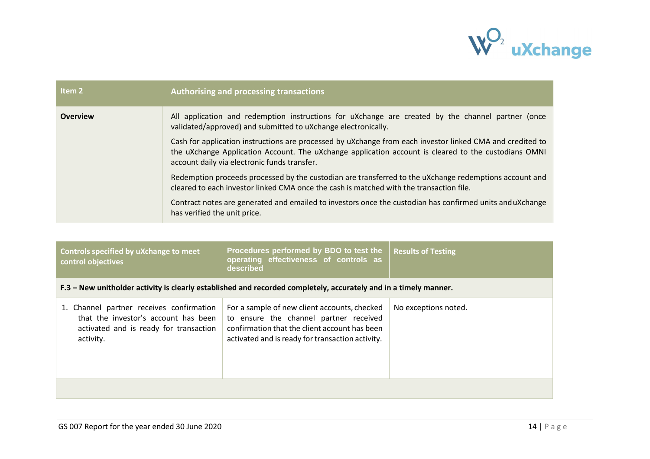

| Item 2          | Authorising and processing transactions                                                                                                                                                                                                                           |
|-----------------|-------------------------------------------------------------------------------------------------------------------------------------------------------------------------------------------------------------------------------------------------------------------|
| <b>Overview</b> | All application and redemption instructions for uXchange are created by the channel partner (once<br>validated/approved) and submitted to uXchange electronically.                                                                                                |
|                 | Cash for application instructions are processed by uXchange from each investor linked CMA and credited to<br>the uXchange Application Account. The uXchange application account is cleared to the custodians OMNI<br>account daily via electronic funds transfer. |
|                 | Redemption proceeds processed by the custodian are transferred to the uXchange redemptions account and<br>cleared to each investor linked CMA once the cash is matched with the transaction file.                                                                 |
|                 | Contract notes are generated and emailed to investors once the custodian has confirmed units anduXchange<br>has verified the unit price.                                                                                                                          |

| Controls specified by uXchange to meet<br>control objectives                                                                            | Procedures performed by BDO to test the<br>operating effectiveness of controls as<br>described                                                                                              | <b>Results of Testing</b> |  |
|-----------------------------------------------------------------------------------------------------------------------------------------|---------------------------------------------------------------------------------------------------------------------------------------------------------------------------------------------|---------------------------|--|
| F.3 – New unitholder activity is clearly established and recorded completely, accurately and in a timely manner.                        |                                                                                                                                                                                             |                           |  |
| 1. Channel partner receives confirmation<br>that the investor's account has been<br>activated and is ready for transaction<br>activity. | For a sample of new client accounts, checked<br>to ensure the channel partner received<br>confirmation that the client account has been<br>activated and is ready for transaction activity. | No exceptions noted.      |  |
|                                                                                                                                         |                                                                                                                                                                                             |                           |  |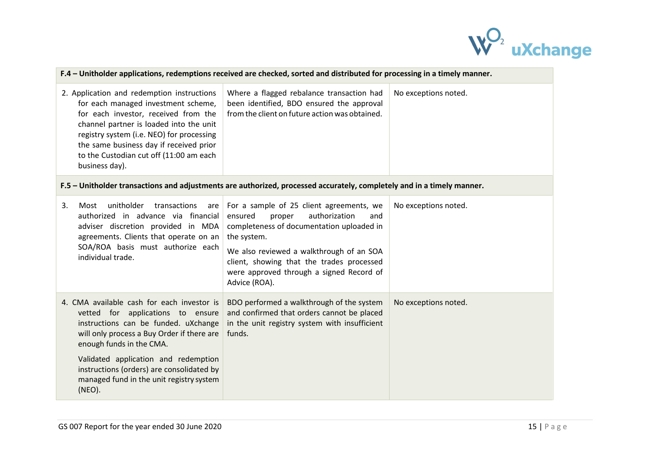

| F.4 – Unitholder applications, redemptions received are checked, sorted and distributed for processing in a timely manner.                                                                                                                                                                                                |                                                                                                                                                                                                                                                                                                         |                      |  |
|---------------------------------------------------------------------------------------------------------------------------------------------------------------------------------------------------------------------------------------------------------------------------------------------------------------------------|---------------------------------------------------------------------------------------------------------------------------------------------------------------------------------------------------------------------------------------------------------------------------------------------------------|----------------------|--|
| 2. Application and redemption instructions<br>for each managed investment scheme,<br>for each investor, received from the<br>channel partner is loaded into the unit<br>registry system (i.e. NEO) for processing<br>the same business day if received prior<br>to the Custodian cut off (11:00 am each<br>business day). | Where a flagged rebalance transaction had<br>been identified, BDO ensured the approval<br>from the client on future action was obtained.                                                                                                                                                                | No exceptions noted. |  |
|                                                                                                                                                                                                                                                                                                                           | F.5 - Unitholder transactions and adjustments are authorized, processed accurately, completely and in a timely manner.                                                                                                                                                                                  |                      |  |
| unitholder<br>3.<br>transactions<br>Most<br>are<br>authorized in advance via financial<br>adviser discretion provided in MDA<br>agreements. Clients that operate on an<br>SOA/ROA basis must authorize each<br>individual trade.                                                                                          | For a sample of 25 client agreements, we<br>ensured<br>authorization<br>proper<br>and<br>completeness of documentation uploaded in<br>the system.<br>We also reviewed a walkthrough of an SOA<br>client, showing that the trades processed<br>were approved through a signed Record of<br>Advice (ROA). | No exceptions noted. |  |
| 4. CMA available cash for each investor is<br>vetted for applications to ensure<br>instructions can be funded. uXchange<br>will only process a Buy Order if there are<br>enough funds in the CMA.<br>Validated application and redemption                                                                                 | BDO performed a walkthrough of the system<br>and confirmed that orders cannot be placed<br>in the unit registry system with insufficient<br>funds.                                                                                                                                                      | No exceptions noted. |  |
| instructions (orders) are consolidated by<br>managed fund in the unit registry system<br>(NEO).                                                                                                                                                                                                                           |                                                                                                                                                                                                                                                                                                         |                      |  |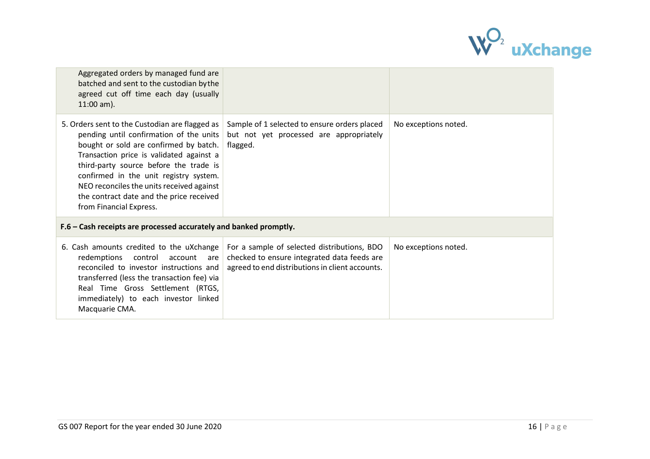

| Aggregated orders by managed fund are<br>batched and sent to the custodian by the<br>agreed cut off time each day (usually<br>$11:00$ am).                                                                                                                                                                                                                                              |                                                                                                                                               |                      |
|-----------------------------------------------------------------------------------------------------------------------------------------------------------------------------------------------------------------------------------------------------------------------------------------------------------------------------------------------------------------------------------------|-----------------------------------------------------------------------------------------------------------------------------------------------|----------------------|
| 5. Orders sent to the Custodian are flagged as<br>pending until confirmation of the units<br>bought or sold are confirmed by batch.<br>Transaction price is validated against a<br>third-party source before the trade is<br>confirmed in the unit registry system.<br>NEO reconciles the units received against<br>the contract date and the price received<br>from Financial Express. | Sample of 1 selected to ensure orders placed<br>but not yet processed are appropriately<br>flagged.                                           | No exceptions noted. |
| F.6 - Cash receipts are processed accurately and banked promptly.                                                                                                                                                                                                                                                                                                                       |                                                                                                                                               |                      |
| 6. Cash amounts credited to the uXchange<br>redemptions<br>control<br>account<br>are<br>reconciled to investor instructions and<br>transferred (less the transaction fee) via<br>Real Time Gross Settlement (RTGS,<br>immediately) to each investor linked<br>Macquarie CMA.                                                                                                            | For a sample of selected distributions, BDO<br>checked to ensure integrated data feeds are<br>agreed to end distributions in client accounts. | No exceptions noted. |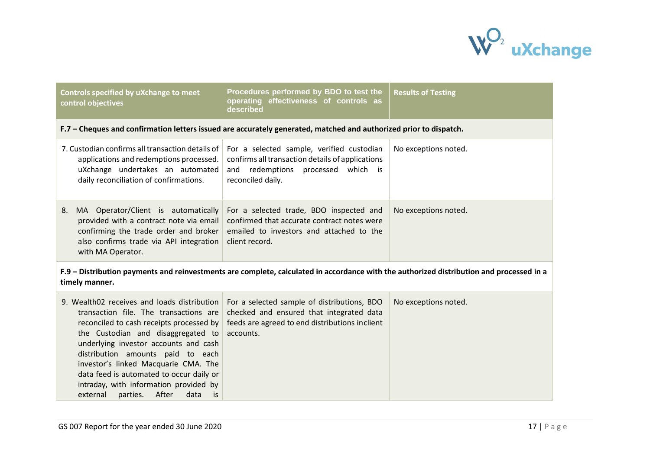

| <b>Controls specified by uXchange to meet</b><br>control objectives                                                                                                                                                                                                                                                                                                                                                                | Procedures performed by BDO to test the<br>operating effectiveness of controls as<br>described                                                           | <b>Results of Testing</b> |
|------------------------------------------------------------------------------------------------------------------------------------------------------------------------------------------------------------------------------------------------------------------------------------------------------------------------------------------------------------------------------------------------------------------------------------|----------------------------------------------------------------------------------------------------------------------------------------------------------|---------------------------|
|                                                                                                                                                                                                                                                                                                                                                                                                                                    | F.7 - Cheques and confirmation letters issued are accurately generated, matched and authorized prior to dispatch.                                        |                           |
| 7. Custodian confirms all transaction details of<br>applications and redemptions processed.<br>uXchange undertakes an automated<br>daily reconciliation of confirmations.                                                                                                                                                                                                                                                          | For a selected sample, verified custodian<br>confirms all transaction details of applications<br>and redemptions processed which is<br>reconciled daily. | No exceptions noted.      |
| MA Operator/Client is automatically<br>8.<br>provided with a contract note via email<br>confirming the trade order and broker<br>also confirms trade via API integration<br>with MA Operator.                                                                                                                                                                                                                                      | For a selected trade, BDO inspected and<br>confirmed that accurate contract notes were<br>emailed to investors and attached to the<br>client record.     | No exceptions noted.      |
| timely manner.                                                                                                                                                                                                                                                                                                                                                                                                                     | F.9 – Distribution payments and reinvestments are complete, calculated in accordance with the authorized distribution and processed in a                 |                           |
| 9. Wealth02 receives and loads distribution<br>transaction file. The transactions are<br>reconciled to cash receipts processed by<br>the Custodian and disaggregated to<br>underlying investor accounts and cash<br>distribution amounts paid to each<br>investor's linked Macquarie CMA. The<br>data feed is automated to occur daily or<br>intraday, with information provided by<br>After<br>parties.<br>data<br>external<br>is | For a selected sample of distributions, BDO<br>checked and ensured that integrated data<br>feeds are agreed to end distributions inclient<br>accounts.   | No exceptions noted.      |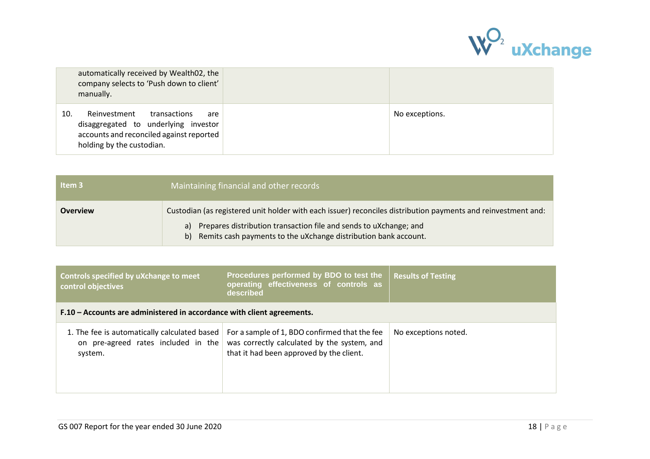

| automatically received by Wealth02, the<br>company selects to 'Push down to client'<br>manually.                                                            |                |
|-------------------------------------------------------------------------------------------------------------------------------------------------------------|----------------|
| Reinvestment<br>10.<br>transactions<br>are<br>disaggregated to underlying investor<br>accounts and reconciled against reported<br>holding by the custodian. | No exceptions. |

| Item <sub>3</sub> | Maintaining financial and other records                                                                       |
|-------------------|---------------------------------------------------------------------------------------------------------------|
| <b>Overview</b>   | Custodian (as registered unit holder with each issuer) reconciles distribution payments and reinvestment and: |
|                   | a) Prepares distribution transaction file and sends to uXchange; and                                          |
|                   | b) Remits cash payments to the uXchange distribution bank account.                                            |

| Controls specified by uXchange to meet<br>control objectives                                   | Procedures performed by BDO to test the<br>operating effectiveness of controls as<br>described                                           | <b>Results of Testing</b> |
|------------------------------------------------------------------------------------------------|------------------------------------------------------------------------------------------------------------------------------------------|---------------------------|
| F.10 – Accounts are administered in accordance with client agreements.                         |                                                                                                                                          |                           |
| 1. The fee is automatically calculated based<br>on pre-agreed rates included in the<br>system. | For a sample of 1, BDO confirmed that the fee<br>was correctly calculated by the system, and<br>that it had been approved by the client. | No exceptions noted.      |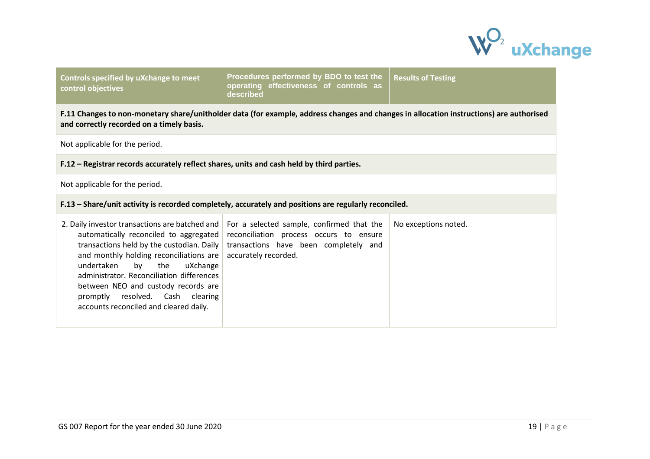

**Controls specified by uXchange to meet control objectives**

**Procedures performed by BDO to test the operating effectiveness of controls as described Results of Testing**

**F.11 Changes to non-monetary share/unitholder data (for example, address changes and changes in allocation instructions) are authorised and correctly recorded on a timely basis.**

Not applicable for the period.

**F.12 – Registrar records accurately reflect shares, units and cash held by third parties.**

Not applicable for the period.

## **F.13 – Share/unit activity is recorded completely, accurately and positions are regularly reconciled.**

| 2. Daily investor transactions are batched and   For a selected sample, confirmed that the<br>and monthly holding reconciliations are $ $ accurately recorded.<br>undertaken<br>uXchange<br>the<br>bv<br>administrator. Reconciliation differences<br>between NEO and custody records are<br>resolved. Cash clearing<br>promptly<br>accounts reconciled and cleared daily. | automatically reconciled to aggregated reconciliation process occurs to ensure<br>transactions held by the custodian. Daily $\vert$ transactions have been completely and | No exceptions noted. |
|----------------------------------------------------------------------------------------------------------------------------------------------------------------------------------------------------------------------------------------------------------------------------------------------------------------------------------------------------------------------------|---------------------------------------------------------------------------------------------------------------------------------------------------------------------------|----------------------|
|                                                                                                                                                                                                                                                                                                                                                                            |                                                                                                                                                                           |                      |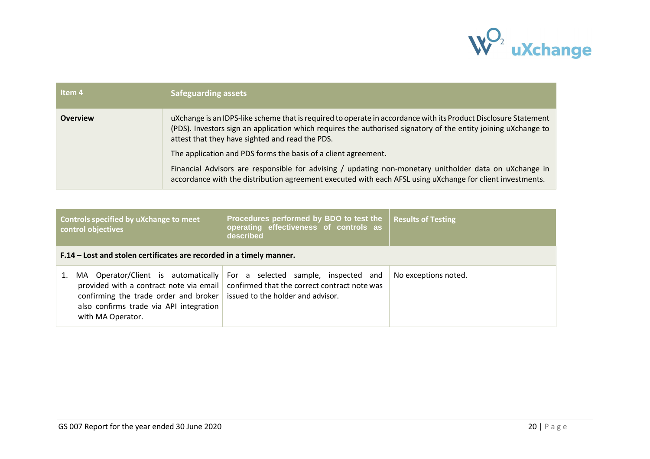

| Item 4          | <b>Safeguarding assets</b>                                                                                                                                                                                                                                                           |
|-----------------|--------------------------------------------------------------------------------------------------------------------------------------------------------------------------------------------------------------------------------------------------------------------------------------|
| <b>Overview</b> | uXchange is an IDPS-like scheme that is required to operate in accordance with its Product Disclosure Statement<br>(PDS). Investors sign an application which requires the authorised signatory of the entity joining uXchange to<br>attest that they have sighted and read the PDS. |
|                 | The application and PDS forms the basis of a client agreement.                                                                                                                                                                                                                       |
|                 | Financial Advisors are responsible for advising / updating non-monetary unitholder data on uXchange in<br>accordance with the distribution agreement executed with each AFSL using uXchange for client investments.                                                                  |

| Controls specified by uXchange to meet<br>control objectives                                                                            | Procedures performed by BDO to test the<br>operating effectiveness of controls as<br>described                                                                     | <b>Results of Testing</b> |  |  |
|-----------------------------------------------------------------------------------------------------------------------------------------|--------------------------------------------------------------------------------------------------------------------------------------------------------------------|---------------------------|--|--|
| F.14 – Lost and stolen certificates are recorded in a timely manner.                                                                    |                                                                                                                                                                    |                           |  |  |
| confirming the trade order and broker issued to the holder and advisor.<br>also confirms trade via API integration<br>with MA Operator. | MA Operator/Client is automatically For a selected sample, inspected and<br>provided with a contract note via email   confirmed that the correct contract note was | No exceptions noted.      |  |  |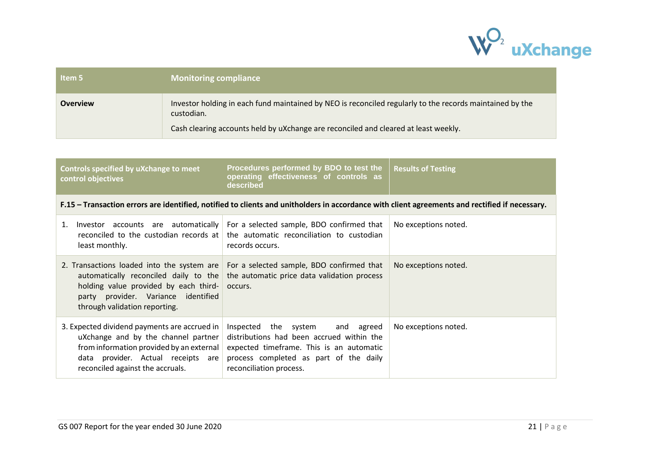

| Item 5          | <b>Monitoring compliance</b>                                                                                           |
|-----------------|------------------------------------------------------------------------------------------------------------------------|
| <b>Overview</b> | Investor holding in each fund maintained by NEO is reconciled regularly to the records maintained by the<br>custodian. |
|                 | Cash clearing accounts held by uXchange are reconciled and cleared at least weekly.                                    |

| Procedures performed by BDO to test the<br>Controls specified by uXchange to meet<br>operating effectiveness of controls as<br>control objectives<br>described                                            |                                                                                                                                                                                                                         | <b>Results of Testing</b> |
|-----------------------------------------------------------------------------------------------------------------------------------------------------------------------------------------------------------|-------------------------------------------------------------------------------------------------------------------------------------------------------------------------------------------------------------------------|---------------------------|
|                                                                                                                                                                                                           | F.15 – Transaction errors are identified, notified to clients and unitholders in accordance with client agreements and rectified if necessary.                                                                          |                           |
| 1.<br>least monthly.                                                                                                                                                                                      | Investor $\alpha$ accounts are $\alpha$ automatically $\alpha$ For a selected sample, BDO confirmed that<br>reconciled to the custodian records at $\vert$ the automatic reconciliation to custodian<br>records occurs. | No exceptions noted.      |
| holding value provided by each third-<br>party provider. Variance identified<br>through validation reporting.                                                                                             | 2. Transactions loaded into the system are   For a selected sample, BDO confirmed that<br>automatically reconciled daily to the the automatic price data validation process<br>occurs.                                  | No exceptions noted.      |
| 3. Expected dividend payments are accrued in<br>uXchange and by the channel partner<br>from information provided by an external<br>data provider. Actual receipts are<br>reconciled against the accruals. | Inspected the system and agreed<br>distributions had been accrued within the<br>expected timeframe. This is an automatic<br>process completed as part of the daily<br>reconciliation process.                           | No exceptions noted.      |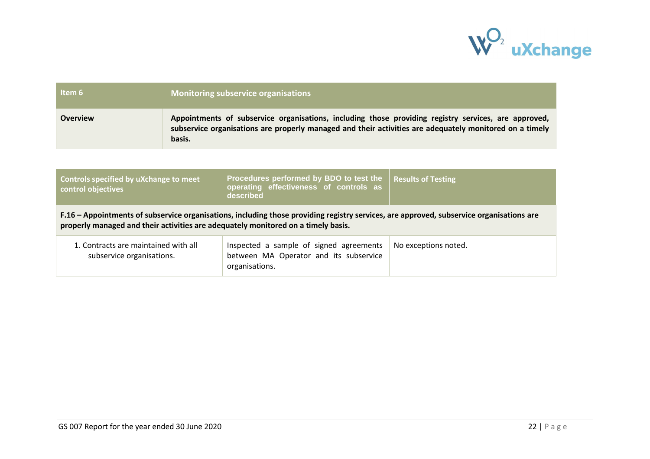

| Item 6                                                                                                                                                                                                                        | <b>Monitoring subservice organisations</b>                                                                                                                                                                                |                                                                                                     |                           |
|-------------------------------------------------------------------------------------------------------------------------------------------------------------------------------------------------------------------------------|---------------------------------------------------------------------------------------------------------------------------------------------------------------------------------------------------------------------------|-----------------------------------------------------------------------------------------------------|---------------------------|
| <b>Overview</b>                                                                                                                                                                                                               | Appointments of subservice organisations, including those providing registry services, are approved,<br>subservice organisations are properly managed and their activities are adequately monitored on a timely<br>basis. |                                                                                                     |                           |
|                                                                                                                                                                                                                               |                                                                                                                                                                                                                           |                                                                                                     |                           |
| Controls specified by uXchange to meet<br>control objectives                                                                                                                                                                  |                                                                                                                                                                                                                           | Procedures performed by BDO to test the<br>operating effectiveness of controls as<br>described      | <b>Results of Testing</b> |
| F.16 – Appointments of subservice organisations, including those providing registry services, are approved, subservice organisations are<br>properly managed and their activities are adequately monitored on a timely basis. |                                                                                                                                                                                                                           |                                                                                                     |                           |
| 1. Contracts are maintained with all<br>subservice organisations.                                                                                                                                                             |                                                                                                                                                                                                                           | Inspected a sample of signed agreements<br>between MA Operator and its subservice<br>organisations. | No exceptions noted.      |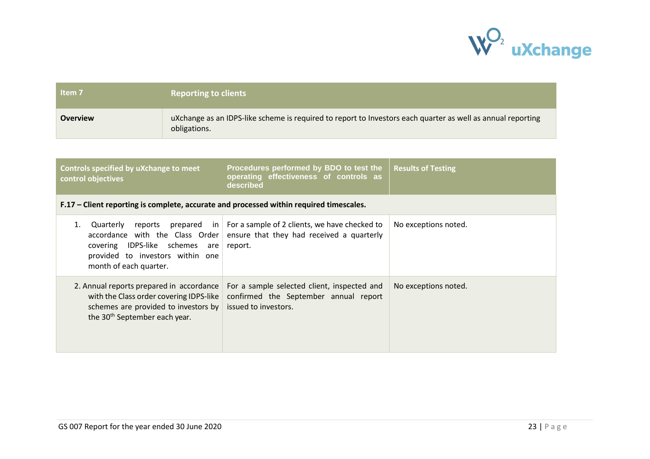

| Item <sub>7</sub> | <b>Reporting to clients</b>                                                                                                 |
|-------------------|-----------------------------------------------------------------------------------------------------------------------------|
| <b>Overview</b>   | uXchange as an IDPS-like scheme is required to report to Investors each quarter as well as annual reporting<br>obligations. |

| Controls specified by uXchange to meet<br>control objectives                                                                                                             | Procedures performed by BDO to test the<br>operating effectiveness of controls as<br>described                            | <b>Results of Testing</b> |
|--------------------------------------------------------------------------------------------------------------------------------------------------------------------------|---------------------------------------------------------------------------------------------------------------------------|---------------------------|
| F.17 – Client reporting is complete, accurate and processed within required timescales.                                                                                  |                                                                                                                           |                           |
| reports<br>Quarterly<br>accordance with the Class Order<br>covering IDPS-like schemes<br>are<br>provided to investors within one<br>month of each quarter.               | prepared in $\vert$ For a sample of 2 clients, we have checked to<br>ensure that they had received a quarterly<br>report. | No exceptions noted.      |
| 2. Annual reports prepared in accordance<br>with the Class order covering IDPS-like<br>schemes are provided to investors by<br>the 30 <sup>th</sup> September each year. | For a sample selected client, inspected and<br>confirmed the September annual report<br>issued to investors.              | No exceptions noted.      |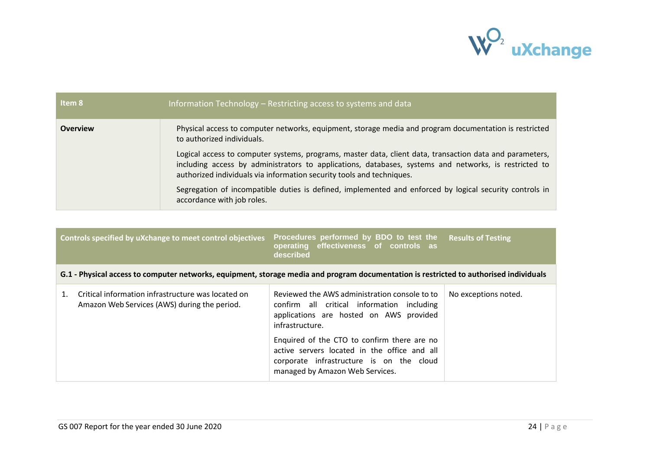

| Item 8          | Information Technology – Restricting access to systems and data                                                                                                                                                                                                                            |
|-----------------|--------------------------------------------------------------------------------------------------------------------------------------------------------------------------------------------------------------------------------------------------------------------------------------------|
| <b>Overview</b> | Physical access to computer networks, equipment, storage media and program documentation is restricted<br>to authorized individuals.                                                                                                                                                       |
|                 | Logical access to computer systems, programs, master data, client data, transaction data and parameters,<br>including access by administrators to applications, databases, systems and networks, is restricted to<br>authorized individuals via information security tools and techniques. |
|                 | Segregation of incompatible duties is defined, implemented and enforced by logical security controls in<br>accordance with job roles.                                                                                                                                                      |

| Controls specified by uXchange to meet control objectives                                                                              | Procedures performed by BDO to test the<br>operating effectiveness of controls as<br>described                                                                                                                                                                                                                                          | <b>Results of Testing</b> |  |  |
|----------------------------------------------------------------------------------------------------------------------------------------|-----------------------------------------------------------------------------------------------------------------------------------------------------------------------------------------------------------------------------------------------------------------------------------------------------------------------------------------|---------------------------|--|--|
| G.1 - Physical access to computer networks, equipment, storage media and program documentation is restricted to authorised individuals |                                                                                                                                                                                                                                                                                                                                         |                           |  |  |
| Critical information infrastructure was located on<br>Amazon Web Services (AWS) during the period.                                     | Reviewed the AWS administration console to to<br>confirm all critical information including<br>applications are hosted on AWS provided<br>infrastructure.<br>Enquired of the CTO to confirm there are no<br>active servers located in the office and all<br>corporate infrastructure is on the cloud<br>managed by Amazon Web Services. | No exceptions noted.      |  |  |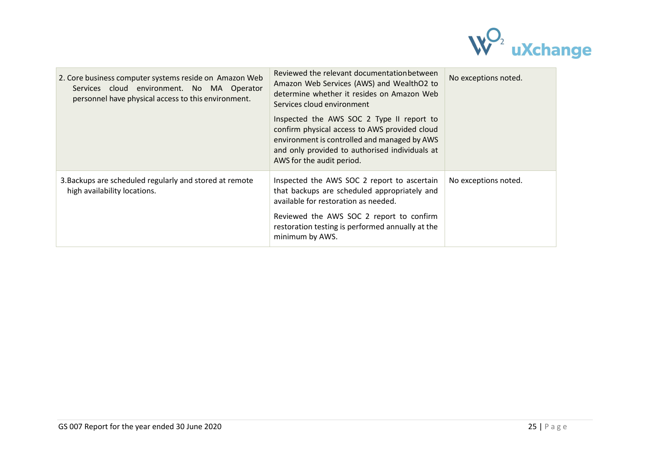

| 2. Core business computer systems reside on Amazon Web<br>Services cloud environment. No MA Operator<br>personnel have physical access to this environment. | Reviewed the relevant documentation between<br>Amazon Web Services (AWS) and WealthO2 to<br>determine whether it resides on Amazon Web<br>Services cloud environment                                                      | No exceptions noted. |
|-------------------------------------------------------------------------------------------------------------------------------------------------------------|---------------------------------------------------------------------------------------------------------------------------------------------------------------------------------------------------------------------------|----------------------|
|                                                                                                                                                             | Inspected the AWS SOC 2 Type II report to<br>confirm physical access to AWS provided cloud<br>environment is controlled and managed by AWS<br>and only provided to authorised individuals at<br>AWS for the audit period. |                      |
| 3. Backups are scheduled regularly and stored at remote<br>high availability locations.                                                                     | Inspected the AWS SOC 2 report to ascertain<br>that backups are scheduled appropriately and<br>available for restoration as needed.                                                                                       | No exceptions noted. |
|                                                                                                                                                             | Reviewed the AWS SOC 2 report to confirm<br>restoration testing is performed annually at the<br>minimum by AWS.                                                                                                           |                      |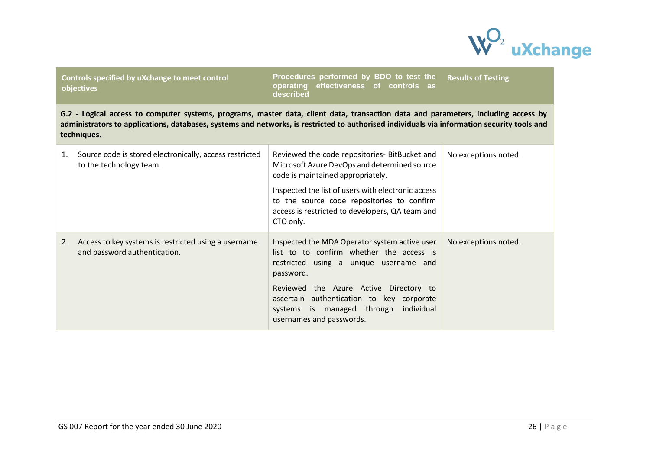

**Controls specified by uXchange to meet control objectives**

**Procedures performed by BDO to test the operating effectiveness of controls as described Results of Testing**

**G.2 - Logical access to computer systems, programs, master data, client data, transaction data and parameters, including access by administrators to applications, databases, systems and networks, is restricted to authorised individuals via information security tools and techniques.**

| 1. | Source code is stored electronically, access restricted<br>to the technology team.   | Reviewed the code repositories- BitBucket and<br>Microsoft Azure DevOps and determined source<br>code is maintained appropriately.<br>Inspected the list of users with electronic access<br>to the source code repositories to confirm<br>access is restricted to developers, QA team and<br>CTO only.       | No exceptions noted. |
|----|--------------------------------------------------------------------------------------|--------------------------------------------------------------------------------------------------------------------------------------------------------------------------------------------------------------------------------------------------------------------------------------------------------------|----------------------|
| 2. | Access to key systems is restricted using a username<br>and password authentication. | Inspected the MDA Operator system active user<br>list to to confirm whether the access is<br>restricted using a unique username and<br>password.<br>Reviewed the Azure Active Directory to<br>ascertain authentication to key corporate<br>systems is managed through individual<br>usernames and passwords. | No exceptions noted. |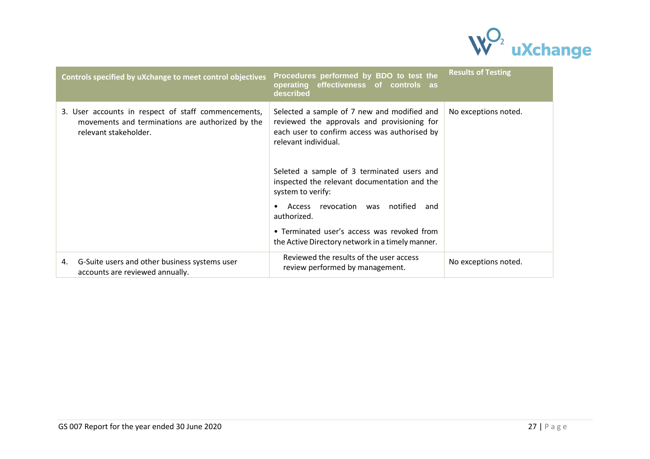

| Controls specified by uXchange to meet control objectives                                                                        | Procedures performed by BDO to test the<br>operating<br>effectiveness of controls as<br>described                                                                                                                                                                                                                                                                                                      | <b>Results of Testing</b> |
|----------------------------------------------------------------------------------------------------------------------------------|--------------------------------------------------------------------------------------------------------------------------------------------------------------------------------------------------------------------------------------------------------------------------------------------------------------------------------------------------------------------------------------------------------|---------------------------|
| 3. User accounts in respect of staff commencements,<br>movements and terminations are authorized by the<br>relevant stakeholder. | Selected a sample of 7 new and modified and<br>reviewed the approvals and provisioning for<br>each user to confirm access was authorised by<br>relevant individual.<br>Seleted a sample of 3 terminated users and<br>inspected the relevant documentation and the<br>system to verify:<br>revocation<br>notified<br>Access<br>was<br>and<br>authorized.<br>• Terminated user's access was revoked from | No exceptions noted.      |
|                                                                                                                                  | the Active Directory network in a timely manner.                                                                                                                                                                                                                                                                                                                                                       |                           |
| G-Suite users and other business systems user<br>4.<br>accounts are reviewed annually.                                           | Reviewed the results of the user access<br>review performed by management.                                                                                                                                                                                                                                                                                                                             | No exceptions noted.      |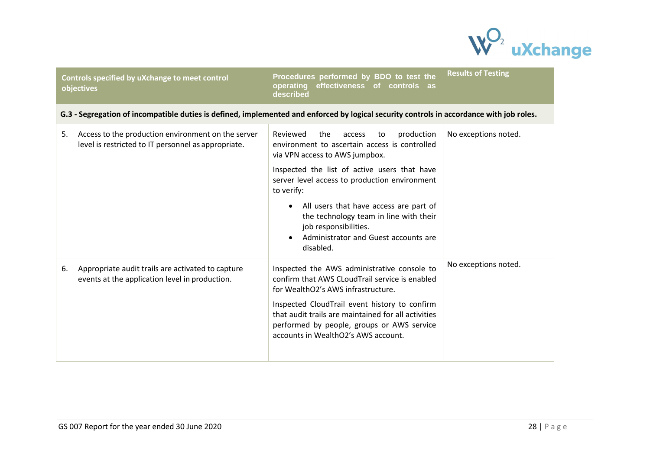

|    | Controls specified by uXchange to meet control<br>objectives                                                                             | Procedures performed by BDO to test the<br>effectiveness<br>operating<br>of controls as<br>described                                                                                                                                                                                                                                                                                                                | <b>Results of Testing</b> |
|----|------------------------------------------------------------------------------------------------------------------------------------------|---------------------------------------------------------------------------------------------------------------------------------------------------------------------------------------------------------------------------------------------------------------------------------------------------------------------------------------------------------------------------------------------------------------------|---------------------------|
|    | G.3 - Segregation of incompatible duties is defined, implemented and enforced by logical security controls in accordance with job roles. |                                                                                                                                                                                                                                                                                                                                                                                                                     |                           |
| 5. | Access to the production environment on the server<br>level is restricted to IT personnel as appropriate.                                | Reviewed<br>the<br>production<br>access<br>to<br>environment to ascertain access is controlled<br>via VPN access to AWS jumpbox.<br>Inspected the list of active users that have<br>server level access to production environment<br>to verify:<br>• All users that have access are part of<br>the technology team in line with their<br>job responsibilities.<br>Administrator and Guest accounts are<br>disabled. | No exceptions noted.      |
| 6. | Appropriate audit trails are activated to capture<br>events at the application level in production.                                      | Inspected the AWS administrative console to<br>confirm that AWS CLoudTrail service is enabled<br>for WealthO2's AWS infrastructure.<br>Inspected CloudTrail event history to confirm<br>that audit trails are maintained for all activities<br>performed by people, groups or AWS service<br>accounts in WealthO2's AWS account.                                                                                    | No exceptions noted.      |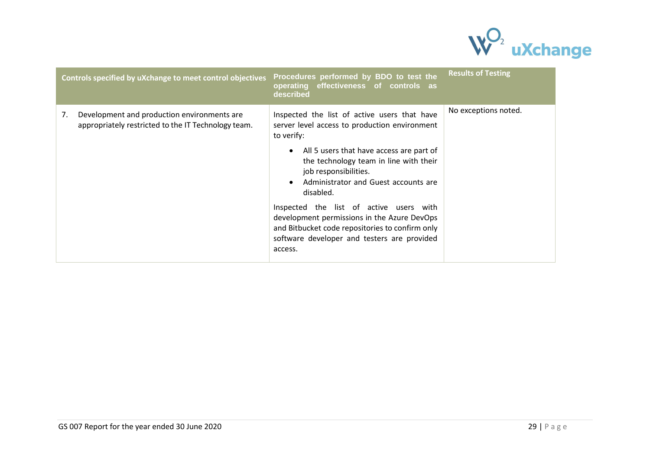

|    | Controls specified by uXchange to meet control objectives                                          | Procedures performed by BDO to test the<br>operating effectiveness of controls as<br>described                                                                                                                                                                                                                                                                                                                                                                                                                   | <b>Results of Testing</b> |
|----|----------------------------------------------------------------------------------------------------|------------------------------------------------------------------------------------------------------------------------------------------------------------------------------------------------------------------------------------------------------------------------------------------------------------------------------------------------------------------------------------------------------------------------------------------------------------------------------------------------------------------|---------------------------|
| 7. | Development and production environments are<br>appropriately restricted to the IT Technology team. | Inspected the list of active users that have<br>server level access to production environment<br>to verify:<br>All 5 users that have access are part of<br>$\bullet$<br>the technology team in line with their<br>job responsibilities.<br>Administrator and Guest accounts are<br>$\bullet$<br>disabled.<br>Inspected the list of active users with<br>development permissions in the Azure DevOps<br>and Bitbucket code repositories to confirm only<br>software developer and testers are provided<br>access. | No exceptions noted.      |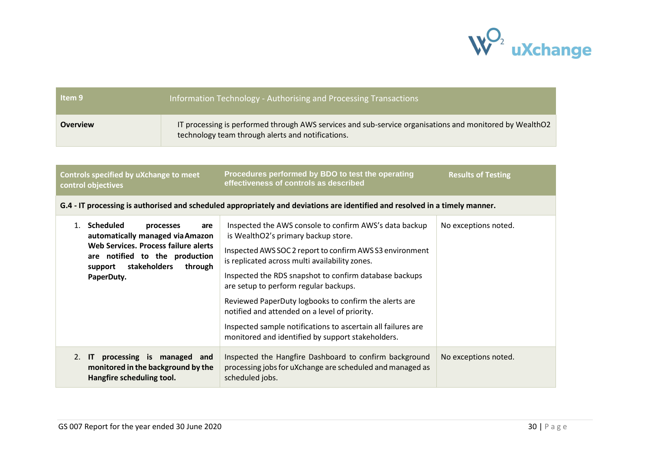

| Item 9          | Information Technology - Authorising and Processing Transactions                                                                                             |
|-----------------|--------------------------------------------------------------------------------------------------------------------------------------------------------------|
| <b>Overview</b> | IT processing is performed through AWS services and sub-service organisations and monitored by WealthO2<br>technology team through alerts and notifications. |

| Controls specified by uXchange to meet<br>control objectives | Procedures performed by BDO to test the operating<br>effectiveness of controls as described | <b>Results of Testing</b> |
|--------------------------------------------------------------|---------------------------------------------------------------------------------------------|---------------------------|
|                                                              |                                                                                             |                           |

**G.4 - IT processing is authorised and scheduled appropriately and deviations are identified and resolved in a timely manner.**

|    | Scheduled<br>processes<br>are<br>automatically managed via Amazon<br>Web Services. Process failure alerts<br>are notified to the production<br>stakeholders<br>through<br>support<br>PaperDuty. | Inspected the AWS console to confirm AWS's data backup<br>is WealthO2's primary backup store.<br>Inspected AWS SOC 2 report to confirm AWS S3 environment<br>is replicated across multi availability zones.<br>Inspected the RDS snapshot to confirm database backups<br>are setup to perform regular backups.<br>Reviewed PaperDuty logbooks to confirm the alerts are<br>notified and attended on a level of priority.<br>Inspected sample notifications to ascertain all failures are<br>monitored and identified by support stakeholders. | No exceptions noted. |
|----|-------------------------------------------------------------------------------------------------------------------------------------------------------------------------------------------------|-----------------------------------------------------------------------------------------------------------------------------------------------------------------------------------------------------------------------------------------------------------------------------------------------------------------------------------------------------------------------------------------------------------------------------------------------------------------------------------------------------------------------------------------------|----------------------|
| 2. | processing is managed and<br>$\mathsf{I}$<br>monitored in the background by the<br>Hangfire scheduling tool.                                                                                    | Inspected the Hangfire Dashboard to confirm background<br>processing jobs for uXchange are scheduled and managed as<br>scheduled jobs.                                                                                                                                                                                                                                                                                                                                                                                                        | No exceptions noted. |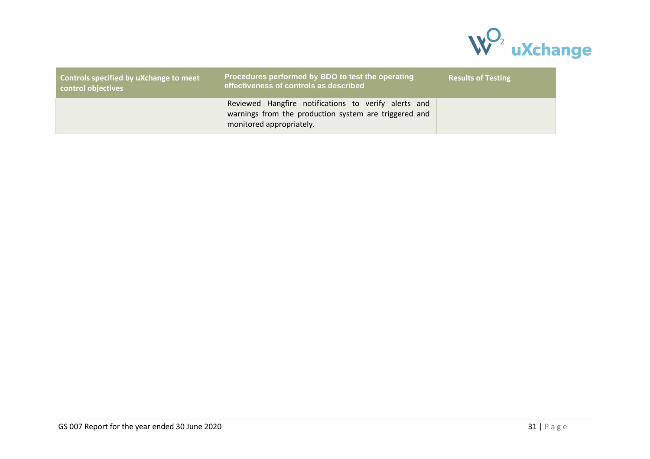

| Controls specified by uXchange to meet<br>control objectives | Procedures performed by BDO to test the operating<br>effectiveness of controls as described                                               | <b>Results of Testing</b> |
|--------------------------------------------------------------|-------------------------------------------------------------------------------------------------------------------------------------------|---------------------------|
|                                                              | Reviewed Hangfire notifications to verify alerts and<br>warnings from the production system are triggered and<br>monitored appropriately. |                           |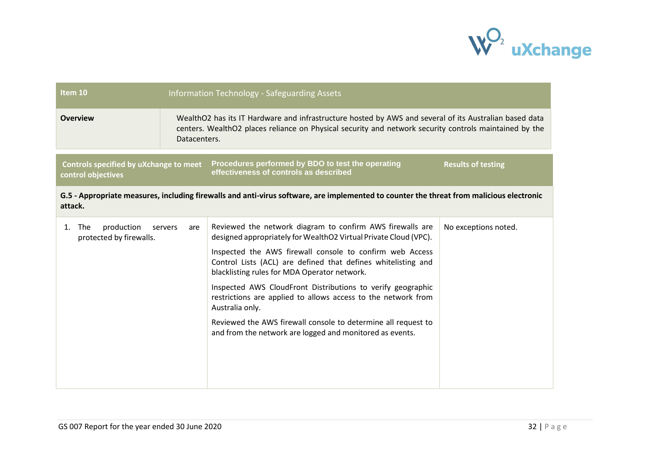

| Item 10                                                                                                                                             |                                                                                                                                                                                                                                  | <b>Information Technology - Safeguarding Assets</b>                                                                                                                       |                           |
|-----------------------------------------------------------------------------------------------------------------------------------------------------|----------------------------------------------------------------------------------------------------------------------------------------------------------------------------------------------------------------------------------|---------------------------------------------------------------------------------------------------------------------------------------------------------------------------|---------------------------|
| <b>Overview</b>                                                                                                                                     | WealthO2 has its IT Hardware and infrastructure hosted by AWS and several of its Australian based data<br>centers. WealthO2 places reliance on Physical security and network security controls maintained by the<br>Datacenters. |                                                                                                                                                                           |                           |
| Controls specified by uXchange to meet<br>control objectives                                                                                        |                                                                                                                                                                                                                                  | Procedures performed by BDO to test the operating<br>effectiveness of controls as described                                                                               | <b>Results of testing</b> |
| G.5 - Appropriate measures, including firewalls and anti-virus software, are implemented to counter the threat from malicious electronic<br>attack. |                                                                                                                                                                                                                                  |                                                                                                                                                                           |                           |
| production<br>1. The<br>protected by firewalls.                                                                                                     | servers<br>are                                                                                                                                                                                                                   | Reviewed the network diagram to confirm AWS firewalls are<br>designed appropriately for WealthO2 Virtual Private Cloud (VPC).                                             | No exceptions noted.      |
|                                                                                                                                                     |                                                                                                                                                                                                                                  | Inspected the AWS firewall console to confirm web Access<br>Control Lists (ACL) are defined that defines whitelisting and<br>blacklisting rules for MDA Operator network. |                           |
|                                                                                                                                                     |                                                                                                                                                                                                                                  | Inspected AWS CloudFront Distributions to verify geographic<br>restrictions are applied to allows access to the network from<br>Australia only.                           |                           |
|                                                                                                                                                     |                                                                                                                                                                                                                                  | Reviewed the AWS firewall console to determine all request to<br>and from the network are logged and monitored as events.                                                 |                           |
|                                                                                                                                                     |                                                                                                                                                                                                                                  |                                                                                                                                                                           |                           |
|                                                                                                                                                     |                                                                                                                                                                                                                                  |                                                                                                                                                                           |                           |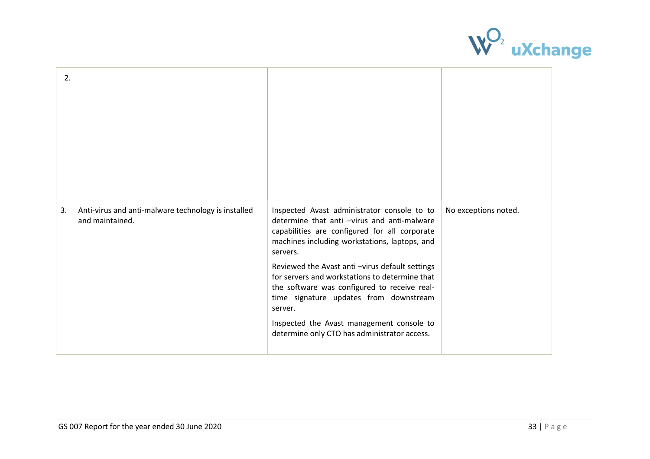

| 2. |                                                                        |                                                                                                                                                                                                                                                                                                                                                                                                                                                                                                                |                      |
|----|------------------------------------------------------------------------|----------------------------------------------------------------------------------------------------------------------------------------------------------------------------------------------------------------------------------------------------------------------------------------------------------------------------------------------------------------------------------------------------------------------------------------------------------------------------------------------------------------|----------------------|
| 3. | Anti-virus and anti-malware technology is installed<br>and maintained. | Inspected Avast administrator console to to<br>determine that anti -virus and anti-malware<br>capabilities are configured for all corporate<br>machines including workstations, laptops, and<br>servers.<br>Reviewed the Avast anti-virus default settings<br>for servers and workstations to determine that<br>the software was configured to receive real-<br>time signature updates from downstream<br>server.<br>Inspected the Avast management console to<br>determine only CTO has administrator access. | No exceptions noted. |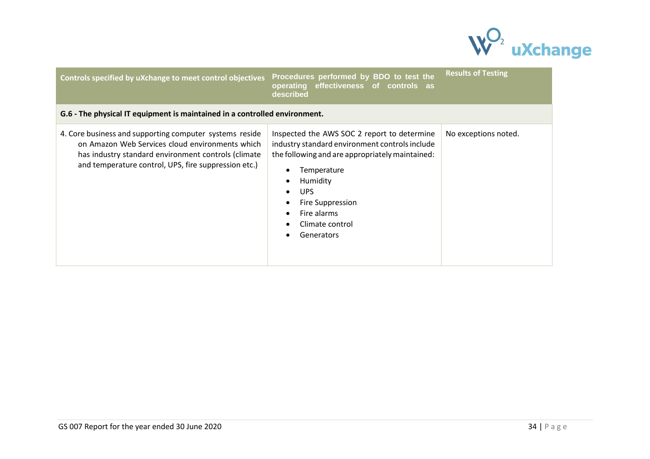

| Controls specified by uXchange to meet control objectives                                                                                                                                                                 | Procedures performed by BDO to test the<br>operating effectiveness of controls as<br>described                                                                                                                                                                 | <b>Results of Testing</b> |
|---------------------------------------------------------------------------------------------------------------------------------------------------------------------------------------------------------------------------|----------------------------------------------------------------------------------------------------------------------------------------------------------------------------------------------------------------------------------------------------------------|---------------------------|
| G.6 - The physical IT equipment is maintained in a controlled environment.                                                                                                                                                |                                                                                                                                                                                                                                                                |                           |
| 4. Core business and supporting computer systems reside<br>on Amazon Web Services cloud environments which<br>has industry standard environment controls (climate<br>and temperature control, UPS, fire suppression etc.) | Inspected the AWS SOC 2 report to determine<br>industry standard environment controls include<br>the following and are appropriately maintained:<br>Temperature<br>Humidity<br>UPS.<br><b>Fire Suppression</b><br>Fire alarms<br>Climate control<br>Generators | No exceptions noted.      |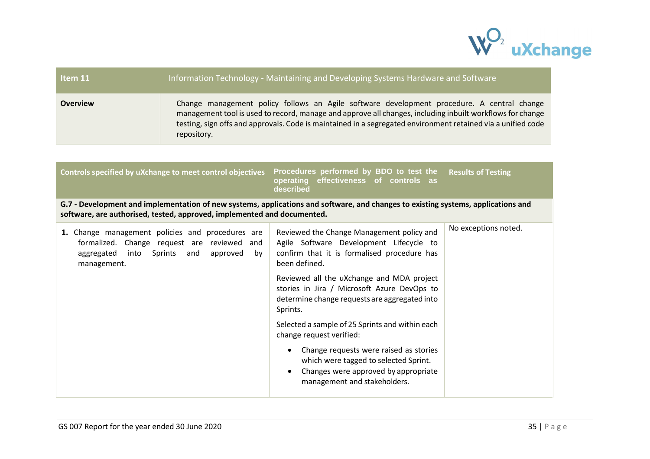

| Item 11         | Information Technology - Maintaining and Developing Systems Hardware and Software                                                                                                                                                                                                                                                      |
|-----------------|----------------------------------------------------------------------------------------------------------------------------------------------------------------------------------------------------------------------------------------------------------------------------------------------------------------------------------------|
| <b>Overview</b> | Change management policy follows an Agile software development procedure. A central change<br>management tool is used to record, manage and approve all changes, including inbuilt workflows for change<br>testing, sign offs and approvals. Code is maintained in a segregated environment retained via a unified code<br>repository. |
|                 |                                                                                                                                                                                                                                                                                                                                        |

| Controls specified by uXchange to meet control objectives                                                                                                                                                    | Procedures performed by BDO to test the<br>effectiveness of controls as<br>operating<br>described                                                                    | <b>Results of Testing</b> |
|--------------------------------------------------------------------------------------------------------------------------------------------------------------------------------------------------------------|----------------------------------------------------------------------------------------------------------------------------------------------------------------------|---------------------------|
| G.7 - Development and implementation of new systems, applications and software, and changes to existing systems, applications and<br>software, are authorised, tested, approved, implemented and documented. |                                                                                                                                                                      |                           |
| 1. Change management policies and procedures are<br>formalized. Change request are reviewed and<br>into Sprints<br>and<br>approved<br>aggregated<br>by<br>management.                                        | Reviewed the Change Management policy and<br>Agile Software Development Lifecycle to<br>confirm that it is formalised procedure has<br>been defined.                 | No exceptions noted.      |
|                                                                                                                                                                                                              | Reviewed all the uXchange and MDA project<br>stories in Jira / Microsoft Azure DevOps to<br>determine change requests are aggregated into<br>Sprints.                |                           |
|                                                                                                                                                                                                              | Selected a sample of 25 Sprints and within each<br>change request verified:                                                                                          |                           |
|                                                                                                                                                                                                              | Change requests were raised as stories<br>$\bullet$<br>which were tagged to selected Sprint.<br>Changes were approved by appropriate<br>management and stakeholders. |                           |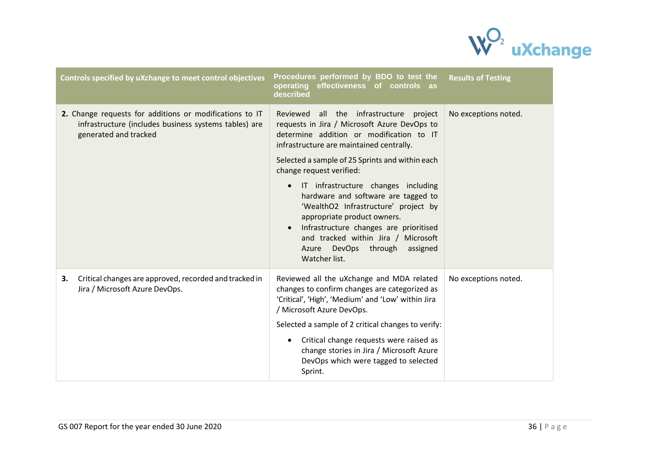

| Controls specified by uXchange to meet control objectives                                                                                 | Procedures performed by BDO to test the<br>effectiveness of controls as<br>operating<br>described                                                                                                                                                                                                                                                                                                                                                                                                                                                                      | <b>Results of Testing</b> |
|-------------------------------------------------------------------------------------------------------------------------------------------|------------------------------------------------------------------------------------------------------------------------------------------------------------------------------------------------------------------------------------------------------------------------------------------------------------------------------------------------------------------------------------------------------------------------------------------------------------------------------------------------------------------------------------------------------------------------|---------------------------|
| 2. Change requests for additions or modifications to IT<br>infrastructure (includes business systems tables) are<br>generated and tracked | all the infrastructure project<br>Reviewed<br>requests in Jira / Microsoft Azure DevOps to<br>determine addition or modification to IT<br>infrastructure are maintained centrally.<br>Selected a sample of 25 Sprints and within each<br>change request verified:<br>IT infrastructure changes including<br>$\bullet$<br>hardware and software are tagged to<br>'WealthO2 Infrastructure' project by<br>appropriate product owners.<br>Infrastructure changes are prioritised<br>and tracked within Jira / Microsoft<br>Azure DevOps through assigned<br>Watcher list. | No exceptions noted.      |
| Critical changes are approved, recorded and tracked in<br>3.<br>Jira / Microsoft Azure DevOps.                                            | Reviewed all the uXchange and MDA related<br>changes to confirm changes are categorized as<br>'Critical', 'High', 'Medium' and 'Low' within Jira<br>/ Microsoft Azure DevOps.<br>Selected a sample of 2 critical changes to verify:<br>Critical change requests were raised as<br>change stories in Jira / Microsoft Azure<br>DevOps which were tagged to selected<br>Sprint.                                                                                                                                                                                          | No exceptions noted.      |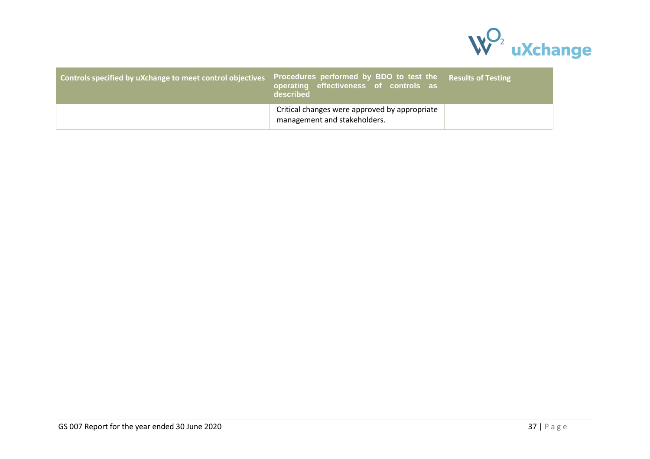

| Controls specified by uXchange to meet control objectives | Procedures performed by BDO to test the<br>operating effectiveness of controls as<br>described | <b>Results of Testing</b> |
|-----------------------------------------------------------|------------------------------------------------------------------------------------------------|---------------------------|
|                                                           | Critical changes were approved by appropriate<br>management and stakeholders.                  |                           |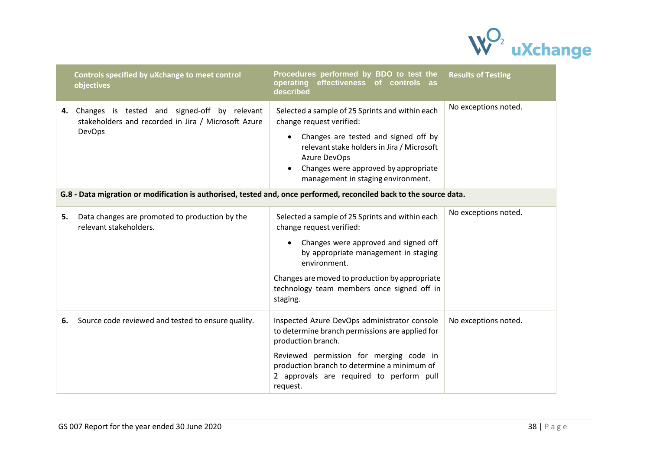

|    | Controls specified by uXchange to meet control<br>objectives                                                            | Procedures performed by BDO to test the<br>effectiveness of controls as<br>operating<br>described                                                                                                                                                                                                    | <b>Results of Testing</b> |
|----|-------------------------------------------------------------------------------------------------------------------------|------------------------------------------------------------------------------------------------------------------------------------------------------------------------------------------------------------------------------------------------------------------------------------------------------|---------------------------|
|    | 4. Changes is tested and signed-off by relevant<br>stakeholders and recorded in Jira / Microsoft Azure<br><b>DevOps</b> | Selected a sample of 25 Sprints and within each<br>change request verified:<br>Changes are tested and signed off by<br>$\bullet$<br>relevant stake holders in Jira / Microsoft<br>Azure DevOps<br>Changes were approved by appropriate<br>management in staging environment.                         | No exceptions noted.      |
|    | G.8 - Data migration or modification is authorised, tested and, once performed, reconciled back to the source data.     |                                                                                                                                                                                                                                                                                                      |                           |
| 5. | Data changes are promoted to production by the<br>relevant stakeholders.                                                | Selected a sample of 25 Sprints and within each<br>change request verified:<br>Changes were approved and signed off<br>$\bullet$<br>by appropriate management in staging<br>environment.<br>Changes are moved to production by appropriate<br>technology team members once signed off in<br>staging. | No exceptions noted.      |
| 6. | Source code reviewed and tested to ensure quality.                                                                      | Inspected Azure DevOps administrator console<br>to determine branch permissions are applied for<br>production branch.<br>Reviewed permission for merging code in<br>production branch to determine a minimum of<br>2 approvals are required to perform pull<br>request.                              | No exceptions noted.      |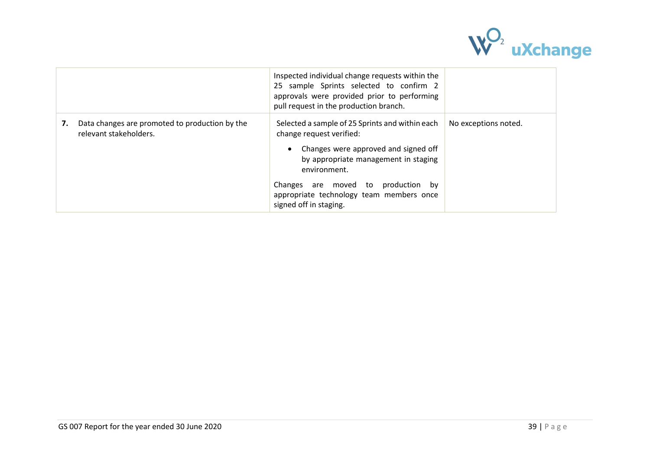

|    |                                                                          | Inspected individual change requests within the<br>25 sample Sprints selected to confirm 2<br>approvals were provided prior to performing<br>pull request in the production branch.                                                                                                        |                      |
|----|--------------------------------------------------------------------------|--------------------------------------------------------------------------------------------------------------------------------------------------------------------------------------------------------------------------------------------------------------------------------------------|----------------------|
| 7. | Data changes are promoted to production by the<br>relevant stakeholders. | Selected a sample of 25 Sprints and within each<br>change request verified:<br>Changes were approved and signed off<br>by appropriate management in staging<br>environment.<br>Changes are moved to production<br>bv<br>appropriate technology team members once<br>signed off in staging. | No exceptions noted. |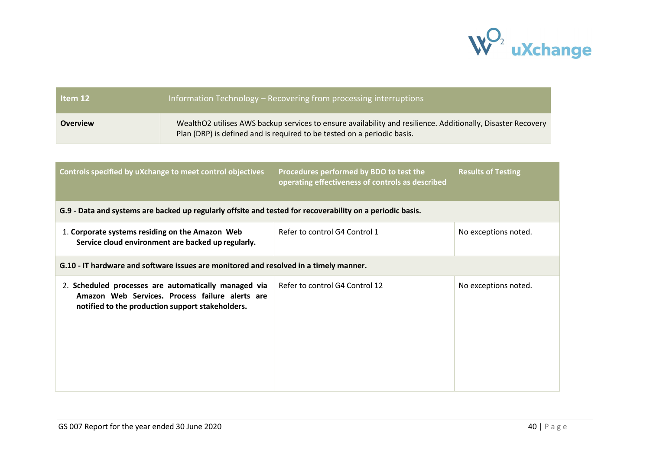

| Item 12         | Information Technology – Recovering from processing interruptions                                                                                                                       |
|-----------------|-----------------------------------------------------------------------------------------------------------------------------------------------------------------------------------------|
| <b>Overview</b> | WealthO2 utilises AWS backup services to ensure availability and resilience. Additionally, Disaster Recovery<br>Plan (DRP) is defined and is required to be tested on a periodic basis. |

| Controls specified by uXchange to meet control objectives                                                                                                   | Procedures performed by BDO to test the<br>operating effectiveness of controls as described | <b>Results of Testing</b> |  |  |
|-------------------------------------------------------------------------------------------------------------------------------------------------------------|---------------------------------------------------------------------------------------------|---------------------------|--|--|
| G.9 - Data and systems are backed up regularly offsite and tested for recoverability on a periodic basis.                                                   |                                                                                             |                           |  |  |
| 1. Corporate systems residing on the Amazon Web<br>Service cloud environment are backed up regularly.                                                       | Refer to control G4 Control 1                                                               | No exceptions noted.      |  |  |
| G.10 - IT hardware and software issues are monitored and resolved in a timely manner.                                                                       |                                                                                             |                           |  |  |
| 2. Scheduled processes are automatically managed via<br>Amazon Web Services. Process failure alerts are<br>notified to the production support stakeholders. | Refer to control G4 Control 12                                                              | No exceptions noted.      |  |  |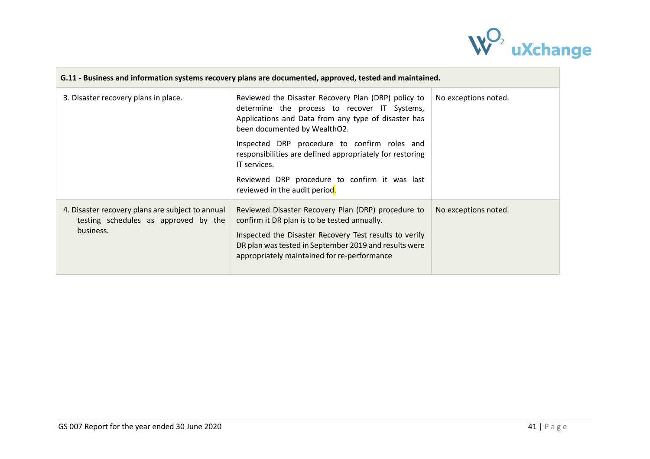

| G.11 - Business and information systems recovery plans are documented, approved, tested and maintained. |                                                                                                                                                                                                                                                                      |                      |  |  |
|---------------------------------------------------------------------------------------------------------|----------------------------------------------------------------------------------------------------------------------------------------------------------------------------------------------------------------------------------------------------------------------|----------------------|--|--|
| 3. Disaster recovery plans in place.                                                                    | Reviewed the Disaster Recovery Plan (DRP) policy to<br>determine the process to recover IT Systems,<br>Applications and Data from any type of disaster has<br>been documented by WealthO2.                                                                           | No exceptions noted. |  |  |
|                                                                                                         | Inspected DRP procedure to confirm roles and<br>responsibilities are defined appropriately for restoring<br>IT services.<br>Reviewed DRP procedure to confirm it was last                                                                                            |                      |  |  |
|                                                                                                         | reviewed in the audit period.                                                                                                                                                                                                                                        |                      |  |  |
| 4. Disaster recovery plans are subject to annual<br>testing schedules as approved by the<br>business.   | Reviewed Disaster Recovery Plan (DRP) procedure to<br>confirm it DR plan is to be tested annually.<br>Inspected the Disaster Recovery Test results to verify<br>DR plan was tested in September 2019 and results were<br>appropriately maintained for re-performance | No exceptions noted. |  |  |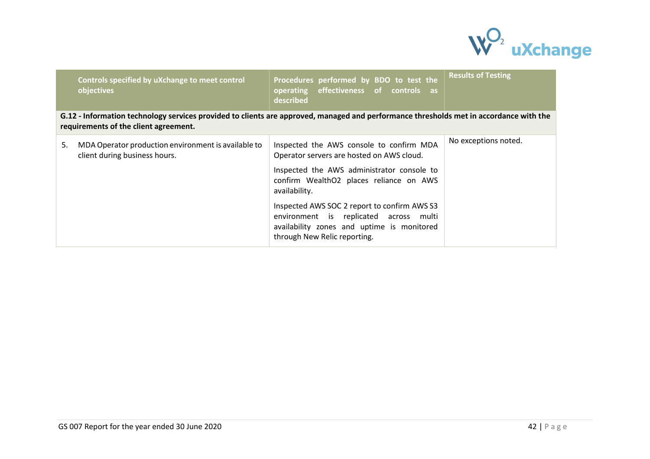

| Controls specified by uXchange to meet control<br>objectives                                                                                                                    | Procedures performed by BDO to test the<br>operating effectiveness of controls as<br>described                                                                       | <b>Results of Testing</b> |  |  |
|---------------------------------------------------------------------------------------------------------------------------------------------------------------------------------|----------------------------------------------------------------------------------------------------------------------------------------------------------------------|---------------------------|--|--|
| G.12 - Information technology services provided to clients are approved, managed and performance thresholds met in accordance with the<br>requirements of the client agreement. |                                                                                                                                                                      |                           |  |  |
| 5.<br>MDA Operator production environment is available to<br>client during business hours.                                                                                      | Inspected the AWS console to confirm MDA<br>Operator servers are hosted on AWS cloud.                                                                                | No exceptions noted.      |  |  |
|                                                                                                                                                                                 | Inspected the AWS administrator console to<br>confirm WealthO2 places reliance on AWS<br>availability.                                                               |                           |  |  |
|                                                                                                                                                                                 | Inspected AWS SOC 2 report to confirm AWS S3<br>environment is replicated across multi<br>availability zones and uptime is monitored<br>through New Relic reporting. |                           |  |  |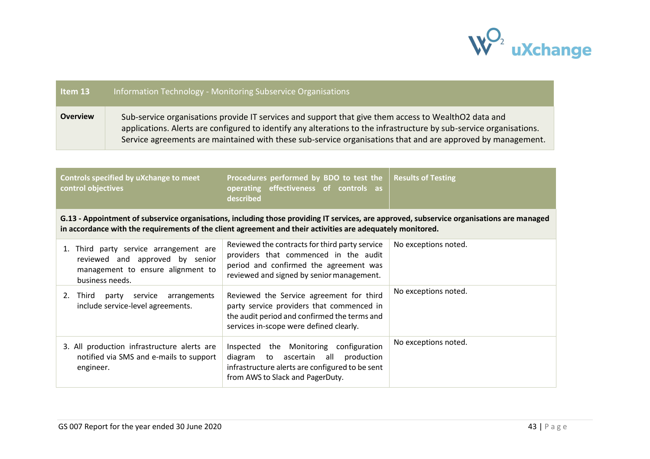

| Item 13                                                                                                                                                                                                                                                 |                                                                                                                                                                                                                                                                                                                                            | Information Technology - Monitoring Subservice Organisations                                                                                                                     |                      |  |
|---------------------------------------------------------------------------------------------------------------------------------------------------------------------------------------------------------------------------------------------------------|--------------------------------------------------------------------------------------------------------------------------------------------------------------------------------------------------------------------------------------------------------------------------------------------------------------------------------------------|----------------------------------------------------------------------------------------------------------------------------------------------------------------------------------|----------------------|--|
| <b>Overview</b>                                                                                                                                                                                                                                         | Sub-service organisations provide IT services and support that give them access to WealthO2 data and<br>applications. Alerts are configured to identify any alterations to the infrastructure by sub-service organisations.<br>Service agreements are maintained with these sub-service organisations that and are approved by management. |                                                                                                                                                                                  |                      |  |
|                                                                                                                                                                                                                                                         |                                                                                                                                                                                                                                                                                                                                            |                                                                                                                                                                                  |                      |  |
| Procedures performed by BDO to test the<br>Controls specified by uXchange to meet<br><b>Results of Testing</b><br>control objectives<br>operating<br>effectiveness of controls as<br>described                                                          |                                                                                                                                                                                                                                                                                                                                            |                                                                                                                                                                                  |                      |  |
| G.13 - Appointment of subservice organisations, including those providing IT services, are approved, subservice organisations are managed<br>in accordance with the requirements of the client agreement and their activities are adequately monitored. |                                                                                                                                                                                                                                                                                                                                            |                                                                                                                                                                                  |                      |  |
| business needs.                                                                                                                                                                                                                                         | 1. Third party service arrangement are<br>reviewed and approved by senior<br>management to ensure alignment to                                                                                                                                                                                                                             | Reviewed the contracts for third party service<br>providers that commenced in the audit<br>period and confirmed the agreement was<br>reviewed and signed by senior management.   | No exceptions noted. |  |
| 2. Third                                                                                                                                                                                                                                                | party service<br>arrangements<br>include service-level agreements.                                                                                                                                                                                                                                                                         | Reviewed the Service agreement for third<br>party service providers that commenced in<br>the audit period and confirmed the terms and<br>services in-scope were defined clearly. | No exceptions noted. |  |
| engineer.                                                                                                                                                                                                                                               | 3. All production infrastructure alerts are<br>notified via SMS and e-mails to support                                                                                                                                                                                                                                                     | Inspected the Monitoring configuration<br>ascertain all<br>production<br>diagram to<br>infrastructure alerts are configured to be sent<br>from AWS to Slack and PagerDuty.       | No exceptions noted. |  |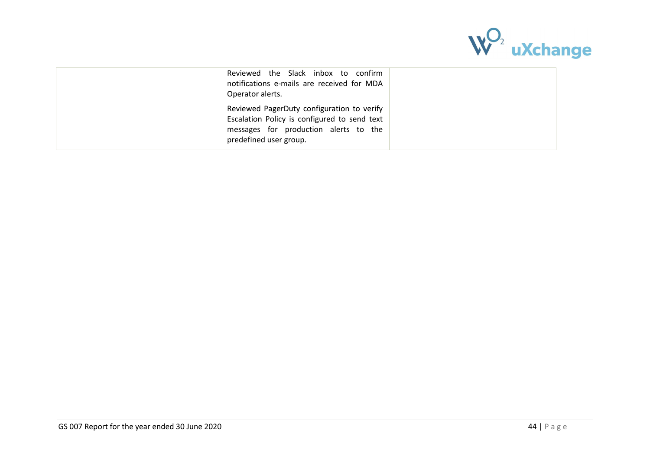

|--|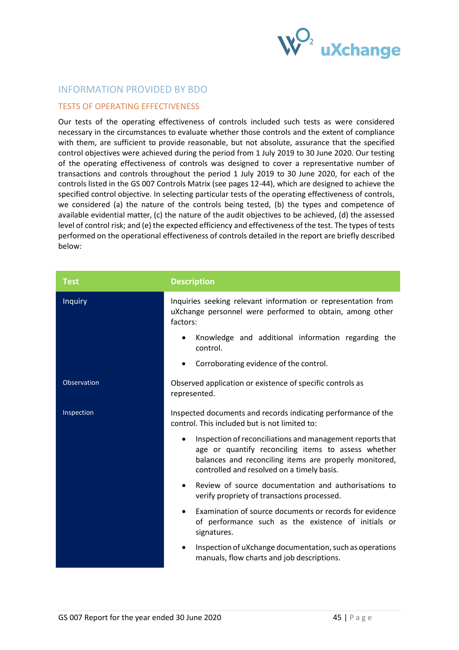

## <span id="page-44-0"></span>INFORMATION PROVIDED BY BDO

## <span id="page-44-1"></span>TESTS OF OPERATING EFFECTIVENESS

Our tests of the operating effectiveness of controls included such tests as were considered necessary in the circumstances to evaluate whether those controls and the extent of compliance with them, are sufficient to provide reasonable, but not absolute, assurance that the specified control objectives were achieved during the period from 1 July 2019 to 30 June 2020. Our testing of the operating effectiveness of controls was designed to cover a representative number of transactions and controls throughout the period 1 July 2019 to 30 June 2020, for each of the controls listed in the GS 007 Controls Matrix (see pages 12-44), which are designed to achieve the specified control objective. In selecting particular tests of the operating effectiveness of controls, we considered (a) the nature of the controls being tested, (b) the types and competence of available evidential matter, (c) the nature of the audit objectives to be achieved, (d) the assessed level of control risk; and (e) the expected efficiency and effectiveness of the test. The types of tests performed on the operational effectiveness of controls detailed in the report are briefly described below:

| <b>Test</b>    | <b>Description</b>                                                                                                                                                                                                            |
|----------------|-------------------------------------------------------------------------------------------------------------------------------------------------------------------------------------------------------------------------------|
| <b>Inquiry</b> | Inquiries seeking relevant information or representation from<br>uXchange personnel were performed to obtain, among other<br>factors:                                                                                         |
|                | Knowledge and additional information regarding the<br>$\bullet$<br>control.                                                                                                                                                   |
|                | Corroborating evidence of the control.<br>$\bullet$                                                                                                                                                                           |
| Observation    | Observed application or existence of specific controls as<br>represented.                                                                                                                                                     |
| Inspection     | Inspected documents and records indicating performance of the<br>control. This included but is not limited to:                                                                                                                |
|                | Inspection of reconciliations and management reports that<br>٠<br>age or quantify reconciling items to assess whether<br>balances and reconciling items are properly monitored,<br>controlled and resolved on a timely basis. |
|                | Review of source documentation and authorisations to<br>$\bullet$<br>verify propriety of transactions processed.                                                                                                              |
|                | Examination of source documents or records for evidence<br>$\bullet$<br>of performance such as the existence of initials or<br>signatures.                                                                                    |
|                | Inspection of uXchange documentation, such as operations<br>$\bullet$<br>manuals, flow charts and job descriptions.                                                                                                           |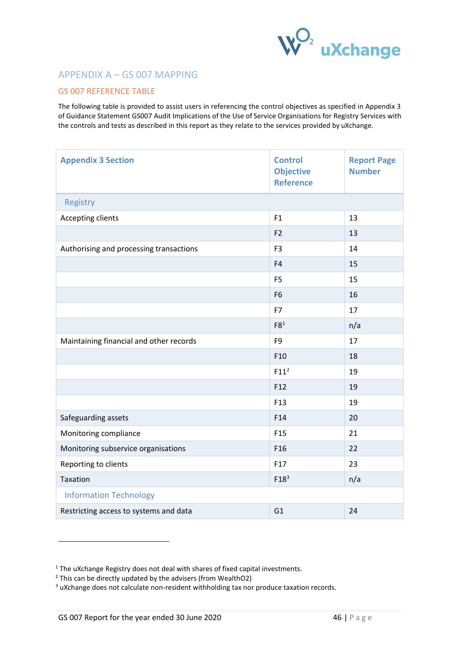

# <span id="page-45-0"></span>APPENDIX A – GS 007 MAPPING

## <span id="page-45-1"></span>GS 007 REFERENCE TABLE

The following table is provided to assist users in referencing the control objectives as specified in Appendix 3 of Guidance Statement GS007 Audit Implications of the Use of Service Organisations for Registry Services with the controls and tests as described in this report as they relate to the services provided by uXchange.

| <b>Appendix 3 Section</b>               | <b>Control</b><br><b>Objective</b><br><b>Reference</b> | <b>Report Page</b><br><b>Number</b> |
|-----------------------------------------|--------------------------------------------------------|-------------------------------------|
| Registry                                |                                                        |                                     |
| Accepting clients                       | F1                                                     | 13                                  |
|                                         | F <sub>2</sub>                                         | 13                                  |
| Authorising and processing transactions | F <sub>3</sub>                                         | 14                                  |
|                                         | F4                                                     | 15                                  |
|                                         | F <sub>5</sub>                                         | 15                                  |
|                                         | F <sub>6</sub>                                         | 16                                  |
|                                         | F7                                                     | 17                                  |
|                                         | F8 <sup>1</sup>                                        | n/a                                 |
| Maintaining financial and other records | F <sub>9</sub>                                         | 17                                  |
|                                         | F <sub>10</sub>                                        | 18                                  |
|                                         | F11 <sup>2</sup>                                       | 19                                  |
|                                         | F <sub>12</sub>                                        | 19                                  |
|                                         | F <sub>13</sub>                                        | 19                                  |
| Safeguarding assets                     | F14                                                    | 20                                  |
| Monitoring compliance                   | F <sub>15</sub>                                        | 21                                  |
| Monitoring subservice organisations     | F <sub>16</sub>                                        | 22                                  |
| Reporting to clients                    | F17                                                    | 23                                  |
| Taxation                                | F18 <sup>3</sup>                                       | n/a                                 |
| <b>Information Technology</b>           |                                                        |                                     |
| Restricting access to systems and data  | G <sub>1</sub>                                         | 24                                  |

<sup>&</sup>lt;sup>1</sup> The uXchange Registry does not deal with shares of fixed capital investments.

 $2$  This can be directly updated by the advisers (from WealthO2)

<sup>&</sup>lt;sup>3</sup> uXchange does not calculate non-resident withholding tax nor produce taxation records.